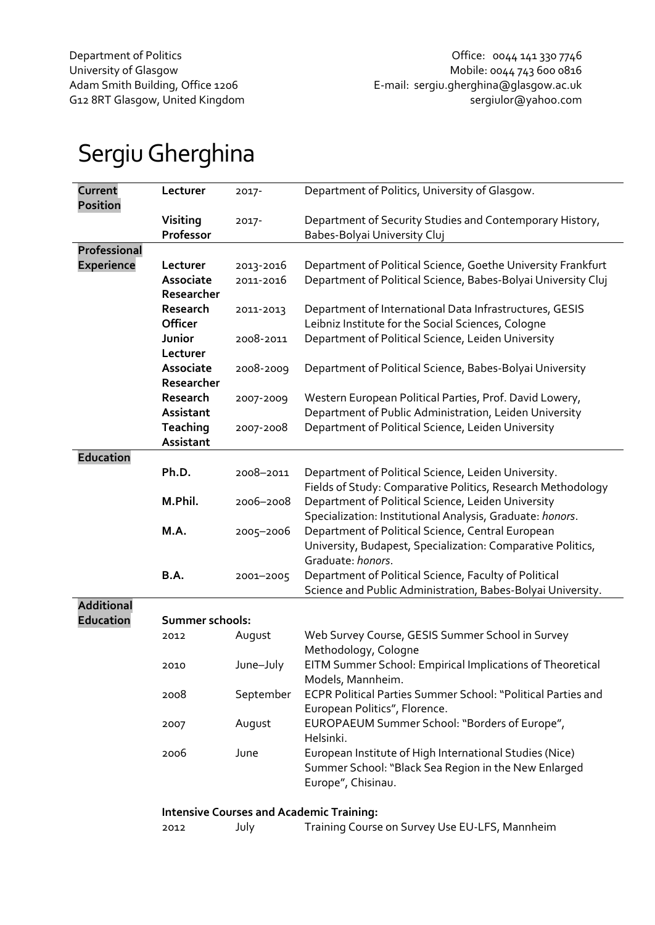# Sergiu Gherghina

| Current<br><b>Position</b> | Lecturer        | 2017-     | Department of Politics, University of Glasgow.                |
|----------------------------|-----------------|-----------|---------------------------------------------------------------|
|                            | Visiting        | 2017-     | Department of Security Studies and Contemporary History,      |
|                            | Professor       |           | Babes-Bolyai University Cluj                                  |
| <b>Professional</b>        |                 |           |                                                               |
| <b>Experience</b>          | Lecturer        | 2013-2016 | Department of Political Science, Goethe University Frankfurt  |
|                            | Associate       | 2011-2016 | Department of Political Science, Babes-Bolyai University Cluj |
|                            | Researcher      |           |                                                               |
|                            | Research        | 2011-2013 | Department of International Data Infrastructures, GESIS       |
|                            | Officer         |           | Leibniz Institute for the Social Sciences, Cologne            |
|                            | Junior          | 2008-2011 | Department of Political Science, Leiden University            |
|                            | Lecturer        |           |                                                               |
|                            | Associate       |           |                                                               |
|                            | Researcher      | 2008-2009 | Department of Political Science, Babes-Bolyai University      |
|                            |                 |           |                                                               |
|                            | Research        | 2007-2009 | Western European Political Parties, Prof. David Lowery,       |
|                            | Assistant       |           | Department of Public Administration, Leiden University        |
|                            | Teaching        | 2007-2008 | Department of Political Science, Leiden University            |
|                            | Assistant       |           |                                                               |
| <b>Education</b>           |                 |           |                                                               |
|                            | Ph.D.           | 2008-2011 | Department of Political Science, Leiden University.           |
|                            |                 |           | Fields of Study: Comparative Politics, Research Methodology   |
|                            | M.Phil.         | 2006-2008 | Department of Political Science, Leiden University            |
|                            |                 |           | Specialization: Institutional Analysis, Graduate: honors.     |
|                            | M.A.            | 2005-2006 | Department of Political Science, Central European             |
|                            |                 |           | University, Budapest, Specialization: Comparative Politics,   |
|                            |                 |           | Graduate: honors.                                             |
|                            | B.A.            | 2001-2005 | Department of Political Science, Faculty of Political         |
|                            |                 |           | Science and Public Administration, Babes-Bolyai University.   |
| <b>Additional</b>          |                 |           |                                                               |
| <b>Education</b>           | Summer schools: |           |                                                               |
|                            | 2012            | August    | Web Survey Course, GESIS Summer School in Survey              |
|                            |                 |           | Methodology, Cologne                                          |
|                            | 2010            | June-July | EITM Summer School: Empirical Implications of Theoretical     |
|                            |                 |           | Models, Mannheim.                                             |
|                            | 2008            | September | ECPR Political Parties Summer School: "Political Parties and  |
|                            |                 |           | European Politics", Florence.                                 |
|                            | 2007            | August    | EUROPAEUM Summer School: "Borders of Europe",                 |
|                            |                 |           | Helsinki.                                                     |
|                            | 2006            | June      | European Institute of High International Studies (Nice)       |
|                            |                 |           | Summer School: "Black Sea Region in the New Enlarged          |
|                            |                 |           | Europe", Chisinau.                                            |
|                            |                 |           |                                                               |
|                            |                 |           | <b>Intensive Courses and Academic Training:</b>               |
|                            | 2012            | July      | Training Course on Survey Use EU-LFS, Mannheim                |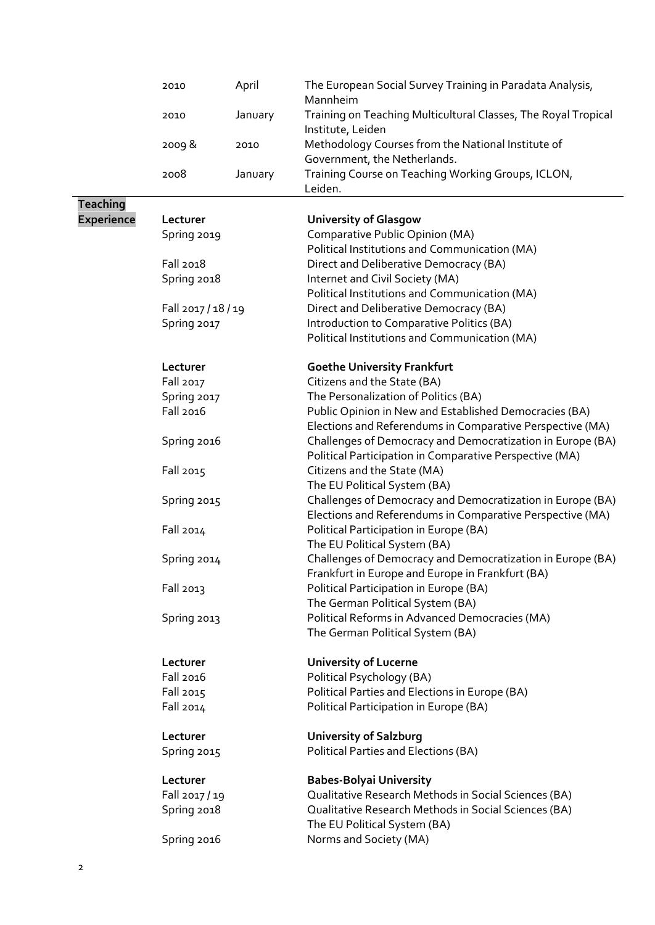|                   | 2010                | April   | The European Social Survey Training in Paradata Analysis,<br>Mannheim                |  |  |  |  |  |
|-------------------|---------------------|---------|--------------------------------------------------------------------------------------|--|--|--|--|--|
|                   | 2010                | January | Training on Teaching Multicultural Classes, The Royal Tropical<br>Institute, Leiden  |  |  |  |  |  |
|                   | 2009&               | 2010    | Methodology Courses from the National Institute of<br>Government, the Netherlands.   |  |  |  |  |  |
|                   | 2008                | January | Training Course on Teaching Working Groups, ICLON,                                   |  |  |  |  |  |
|                   |                     |         | Leiden.                                                                              |  |  |  |  |  |
| <b>Teaching</b>   |                     |         |                                                                                      |  |  |  |  |  |
| <b>Experience</b> | Lecturer            |         | <b>University of Glasgow</b>                                                         |  |  |  |  |  |
|                   | Spring 2019         |         | Comparative Public Opinion (MA)                                                      |  |  |  |  |  |
|                   |                     |         | Political Institutions and Communication (MA)                                        |  |  |  |  |  |
|                   | Fall 2018           |         | Direct and Deliberative Democracy (BA)                                               |  |  |  |  |  |
|                   | Spring 2018         |         | Internet and Civil Society (MA)                                                      |  |  |  |  |  |
|                   |                     |         | Political Institutions and Communication (MA)                                        |  |  |  |  |  |
|                   | Fall 2017 / 18 / 19 |         | Direct and Deliberative Democracy (BA)                                               |  |  |  |  |  |
|                   | Spring 2017         |         | Introduction to Comparative Politics (BA)                                            |  |  |  |  |  |
|                   |                     |         | Political Institutions and Communication (MA)                                        |  |  |  |  |  |
|                   | Lecturer            |         | <b>Goethe University Frankfurt</b>                                                   |  |  |  |  |  |
|                   | Fall 2017           |         | Citizens and the State (BA)                                                          |  |  |  |  |  |
|                   | Spring 2017         |         | The Personalization of Politics (BA)                                                 |  |  |  |  |  |
|                   | Fall 2016           |         | Public Opinion in New and Established Democracies (BA)                               |  |  |  |  |  |
|                   |                     |         | Elections and Referendums in Comparative Perspective (MA)                            |  |  |  |  |  |
|                   | Spring 2016         |         | Challenges of Democracy and Democratization in Europe (BA)                           |  |  |  |  |  |
|                   |                     |         | Political Participation in Comparative Perspective (MA)                              |  |  |  |  |  |
|                   | Fall 2015           |         | Citizens and the State (MA)<br>The EU Political System (BA)                          |  |  |  |  |  |
|                   | Spring 2015         |         | Challenges of Democracy and Democratization in Europe (BA)                           |  |  |  |  |  |
|                   |                     |         | Elections and Referendums in Comparative Perspective (MA)                            |  |  |  |  |  |
|                   | Fall 2014           |         | Political Participation in Europe (BA)                                               |  |  |  |  |  |
|                   |                     |         | The EU Political System (BA)                                                         |  |  |  |  |  |
|                   | Spring 2014         |         | Challenges of Democracy and Democratization in Europe (BA)                           |  |  |  |  |  |
|                   |                     |         | Frankfurt in Europe and Europe in Frankfurt (BA)                                     |  |  |  |  |  |
|                   | Fall 2013           |         | Political Participation in Europe (BA)                                               |  |  |  |  |  |
|                   |                     |         | The German Political System (BA)                                                     |  |  |  |  |  |
|                   | Spring 2013         |         | Political Reforms in Advanced Democracies (MA)                                       |  |  |  |  |  |
|                   |                     |         | The German Political System (BA)                                                     |  |  |  |  |  |
|                   | Lecturer            |         | <b>University of Lucerne</b>                                                         |  |  |  |  |  |
|                   | Fall 2016           |         | Political Psychology (BA)                                                            |  |  |  |  |  |
|                   | Fall 2015           |         | Political Parties and Elections in Europe (BA)                                       |  |  |  |  |  |
|                   | Fall 2014           |         | Political Participation in Europe (BA)                                               |  |  |  |  |  |
|                   | Lecturer            |         | <b>University of Salzburg</b>                                                        |  |  |  |  |  |
|                   | Spring 2015         |         | Political Parties and Elections (BA)                                                 |  |  |  |  |  |
|                   | Lecturer            |         | <b>Babes-Bolyai University</b>                                                       |  |  |  |  |  |
|                   | Fall 2017 / 19      |         | Qualitative Research Methods in Social Sciences (BA)                                 |  |  |  |  |  |
|                   | Spring 2018         |         | Qualitative Research Methods in Social Sciences (BA)<br>The EU Political System (BA) |  |  |  |  |  |
|                   | Spring 2016         |         | Norms and Society (MA)                                                               |  |  |  |  |  |
|                   |                     |         |                                                                                      |  |  |  |  |  |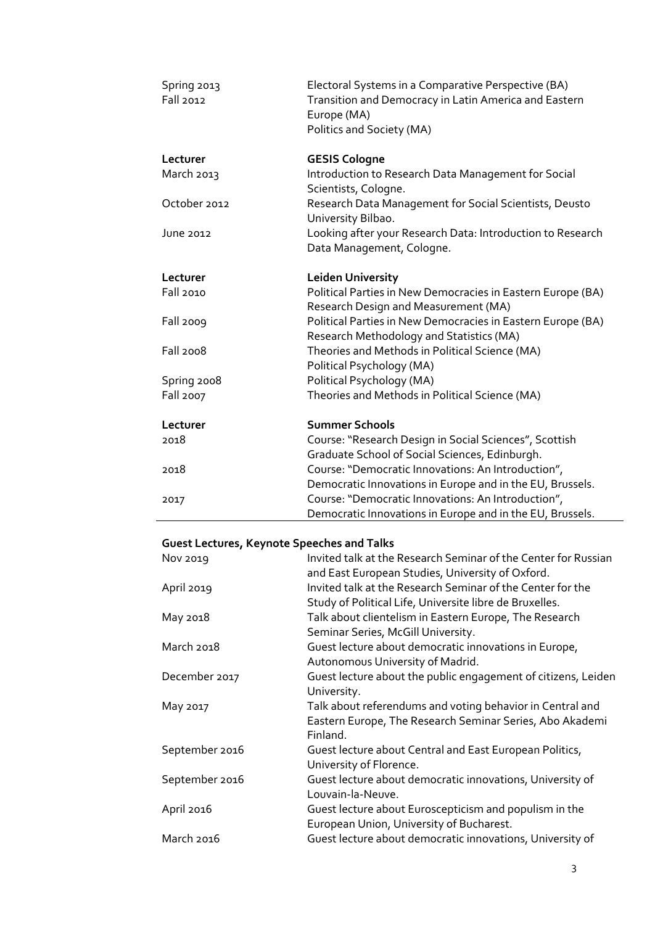| Spring 2013      | Electoral Systems in a Comparative Perspective (BA)                  |
|------------------|----------------------------------------------------------------------|
| Fall 2012        | Transition and Democracy in Latin America and Eastern<br>Europe (MA) |
|                  | Politics and Society (MA)                                            |
|                  |                                                                      |
| Lecturer         | <b>GESIS Cologne</b>                                                 |
| March 2013       | Introduction to Research Data Management for Social                  |
|                  | Scientists, Cologne.                                                 |
| October 2012     | Research Data Management for Social Scientists, Deusto               |
|                  | University Bilbao.                                                   |
| June 2012        | Looking after your Research Data: Introduction to Research           |
|                  | Data Management, Cologne.                                            |
| Lecturer         | <b>Leiden University</b>                                             |
| Fall 2010        | Political Parties in New Democracies in Eastern Europe (BA)          |
|                  | Research Design and Measurement (MA)                                 |
| <b>Fall 2009</b> | Political Parties in New Democracies in Eastern Europe (BA)          |
|                  | Research Methodology and Statistics (MA)                             |
| <b>Fall 2008</b> | Theories and Methods in Political Science (MA)                       |
|                  | Political Psychology (MA)                                            |
| Spring 2008      | Political Psychology (MA)                                            |
| <b>Fall 2007</b> | Theories and Methods in Political Science (MA)                       |
| Lecturer         | <b>Summer Schools</b>                                                |
| 2018             | Course: "Research Design in Social Sciences", Scottish               |
|                  | Graduate School of Social Sciences, Edinburgh.                       |
| 2018             | Course: "Democratic Innovations: An Introduction",                   |
|                  | Democratic Innovations in Europe and in the EU, Brussels.            |
| 2017             | Course: "Democratic Innovations: An Introduction",                   |
|                  | Democratic Innovations in Europe and in the EU, Brussels.            |

## **Guest Lectures, Keynote Speeches and Talks**

| Nov 2019       | Invited talk at the Research Seminar of the Center for Russian<br>and East European Studies, University of Oxford. |
|----------------|--------------------------------------------------------------------------------------------------------------------|
|                | Invited talk at the Research Seminar of the Center for the                                                         |
| April 2019     |                                                                                                                    |
|                | Study of Political Life, Universite libre de Bruxelles.                                                            |
| May 2018       | Talk about clientelism in Eastern Europe, The Research                                                             |
|                | Seminar Series, McGill University.                                                                                 |
| March 2018     | Guest lecture about democratic innovations in Europe,                                                              |
|                | Autonomous University of Madrid.                                                                                   |
| December 2017  | Guest lecture about the public engagement of citizens, Leiden                                                      |
|                | University.                                                                                                        |
| May 2017       | Talk about referendums and voting behavior in Central and                                                          |
|                | Eastern Europe, The Research Seminar Series, Abo Akademi                                                           |
|                | Finland.                                                                                                           |
| September 2016 | Guest lecture about Central and East European Politics,                                                            |
|                | University of Florence.                                                                                            |
| September 2016 | Guest lecture about democratic innovations, University of                                                          |
|                | Louvain-la-Neuve.                                                                                                  |
| April 2016     | Guest lecture about Euroscepticism and populism in the                                                             |
|                | European Union, University of Bucharest.                                                                           |
| March 2016     |                                                                                                                    |
|                | Guest lecture about democratic innovations, University of                                                          |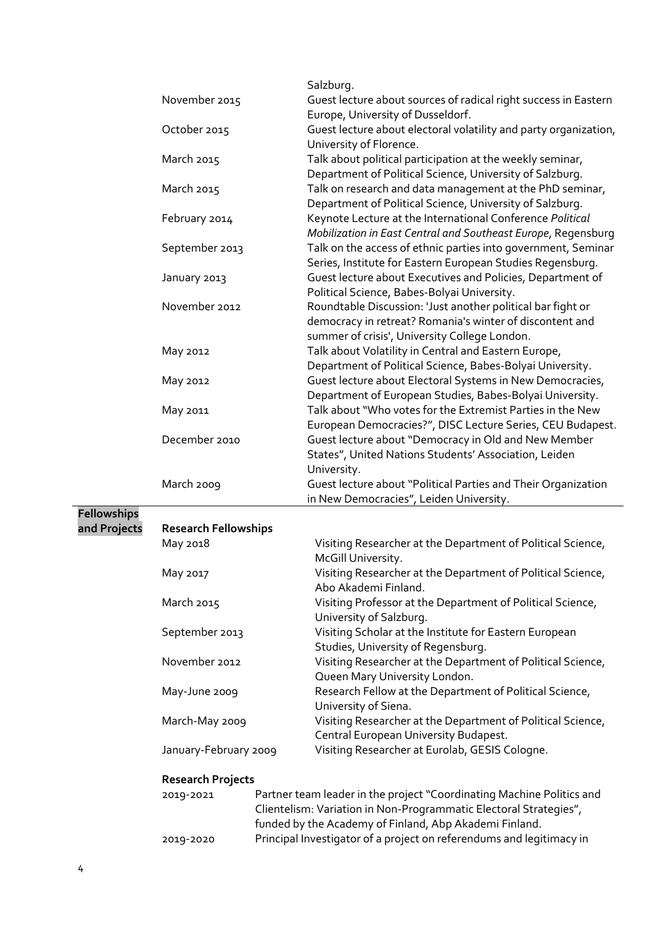|                    |                                                                   |  | Salzburg.                                                             |  |  |  |
|--------------------|-------------------------------------------------------------------|--|-----------------------------------------------------------------------|--|--|--|
|                    | November 2015                                                     |  | Guest lecture about sources of radical right success in Eastern       |  |  |  |
|                    |                                                                   |  | Europe, University of Dusseldorf.                                     |  |  |  |
|                    | October 2015                                                      |  | Guest lecture about electoral volatility and party organization,      |  |  |  |
|                    |                                                                   |  | University of Florence.                                               |  |  |  |
|                    | March 2015                                                        |  | Talk about political participation at the weekly seminar,             |  |  |  |
|                    |                                                                   |  | Department of Political Science, University of Salzburg.              |  |  |  |
|                    | March 2015                                                        |  | Talk on research and data management at the PhD seminar,              |  |  |  |
|                    |                                                                   |  | Department of Political Science, University of Salzburg.              |  |  |  |
|                    |                                                                   |  |                                                                       |  |  |  |
|                    | February 2014                                                     |  | Keynote Lecture at the International Conference Political             |  |  |  |
|                    |                                                                   |  | Mobilization in East Central and Southeast Europe, Regensburg         |  |  |  |
|                    | September 2013                                                    |  | Talk on the access of ethnic parties into government, Seminar         |  |  |  |
|                    |                                                                   |  | Series, Institute for Eastern European Studies Regensburg.            |  |  |  |
|                    | January 2013                                                      |  | Guest lecture about Executives and Policies, Department of            |  |  |  |
|                    |                                                                   |  | Political Science, Babes-Bolyai University.                           |  |  |  |
|                    | November 2012                                                     |  | Roundtable Discussion: 'Just another political bar fight or           |  |  |  |
|                    |                                                                   |  | democracy in retreat? Romania's winter of discontent and              |  |  |  |
|                    |                                                                   |  | summer of crisis', University College London.                         |  |  |  |
|                    | May 2012                                                          |  | Talk about Volatility in Central and Eastern Europe,                  |  |  |  |
|                    |                                                                   |  | Department of Political Science, Babes-Bolyai University.             |  |  |  |
|                    | May 2012                                                          |  | Guest lecture about Electoral Systems in New Democracies,             |  |  |  |
|                    |                                                                   |  | Department of European Studies, Babes-Bolyai University.              |  |  |  |
|                    | May 2011                                                          |  | Talk about "Who votes for the Extremist Parties in the New            |  |  |  |
|                    |                                                                   |  | European Democracies?", DISC Lecture Series, CEU Budapest.            |  |  |  |
|                    | December 2010                                                     |  | Guest lecture about "Democracy in Old and New Member                  |  |  |  |
|                    |                                                                   |  | States", United Nations Students' Association, Leiden                 |  |  |  |
|                    |                                                                   |  | University.                                                           |  |  |  |
|                    | March 2009                                                        |  | Guest lecture about "Political Parties and Their Organization         |  |  |  |
|                    |                                                                   |  | in New Democracies", Leiden University.                               |  |  |  |
| <b>Fellowships</b> |                                                                   |  |                                                                       |  |  |  |
| and Projects       | <b>Research Fellowships</b>                                       |  |                                                                       |  |  |  |
|                    | May 2018                                                          |  |                                                                       |  |  |  |
|                    |                                                                   |  | Visiting Researcher at the Department of Political Science,           |  |  |  |
|                    |                                                                   |  | McGill University.                                                    |  |  |  |
|                    | May 2017                                                          |  | Visiting Researcher at the Department of Political Science,           |  |  |  |
|                    |                                                                   |  | Abo Akademi Finland.                                                  |  |  |  |
|                    | March 2015                                                        |  | Visiting Professor at the Department of Political Science,            |  |  |  |
|                    |                                                                   |  | University of Salzburg.                                               |  |  |  |
|                    | September 2013                                                    |  | Visiting Scholar at the Institute for Eastern European                |  |  |  |
|                    |                                                                   |  | Studies, University of Regensburg.                                    |  |  |  |
|                    | November 2012                                                     |  | Visiting Researcher at the Department of Political Science,           |  |  |  |
|                    |                                                                   |  | Queen Mary University London.                                         |  |  |  |
|                    | May-June 2009                                                     |  | Research Fellow at the Department of Political Science,               |  |  |  |
|                    |                                                                   |  | University of Siena.                                                  |  |  |  |
|                    | March-May 2009                                                    |  | Visiting Researcher at the Department of Political Science,           |  |  |  |
|                    |                                                                   |  | Central European University Budapest.                                 |  |  |  |
|                    | January-February 2009                                             |  | Visiting Researcher at Eurolab, GESIS Cologne.                        |  |  |  |
|                    | <b>Research Projects</b>                                          |  |                                                                       |  |  |  |
|                    | 2019-2021                                                         |  | Partner team leader in the project "Coordinating Machine Politics and |  |  |  |
|                    | Clientelism: Variation in Non-Programmatic Electoral Strategies", |  |                                                                       |  |  |  |

funded by the Academy of Finland, Abp Akademi Finland.

Principal Investigator of a project on referendums and legitimacy in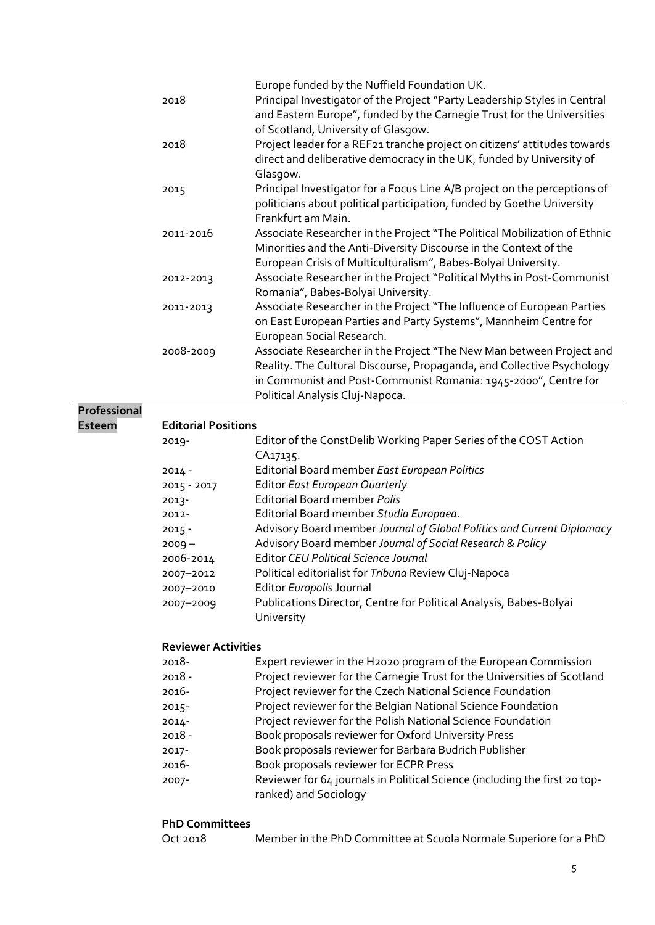|               | 2018                       | Europe funded by the Nuffield Foundation UK.<br>Principal Investigator of the Project "Party Leadership Styles in Central<br>and Eastern Europe", funded by the Carnegie Trust for the Universities                                                  |
|---------------|----------------------------|------------------------------------------------------------------------------------------------------------------------------------------------------------------------------------------------------------------------------------------------------|
|               | 2018                       | of Scotland, University of Glasgow.<br>Project leader for a REF21 tranche project on citizens' attitudes towards<br>direct and deliberative democracy in the UK, funded by University of<br>Glasgow.                                                 |
|               | 2015                       | Principal Investigator for a Focus Line A/B project on the perceptions of<br>politicians about political participation, funded by Goethe University<br>Frankfurt am Main.                                                                            |
|               | 2011-2016                  | Associate Researcher in the Project "The Political Mobilization of Ethnic<br>Minorities and the Anti-Diversity Discourse in the Context of the<br>European Crisis of Multiculturalism", Babes-Bolyai University.                                     |
|               | 2012-2013                  | Associate Researcher in the Project "Political Myths in Post-Communist<br>Romania", Babes-Bolyai University.                                                                                                                                         |
|               | 2011-2013                  | Associate Researcher in the Project "The Influence of European Parties<br>on East European Parties and Party Systems", Mannheim Centre for<br>European Social Research.                                                                              |
|               | 2008-2009                  | Associate Researcher in the Project "The New Man between Project and<br>Reality. The Cultural Discourse, Propaganda, and Collective Psychology<br>in Communist and Post-Communist Romania: 1945-2000", Centre for<br>Political Analysis Cluj-Napoca. |
| Professional  |                            |                                                                                                                                                                                                                                                      |
| <b>Esteem</b> | <b>Editorial Positions</b> |                                                                                                                                                                                                                                                      |
|               | 2019-                      | Editor of the ConstDelib Working Paper Series of the COST Action<br>CA17135.                                                                                                                                                                         |
|               | $2014 -$                   | Editorial Board member East European Politics                                                                                                                                                                                                        |
|               | 2015 - 2017                | Editor East European Quarterly                                                                                                                                                                                                                       |
|               | $2013 -$                   | Editorial Board member Polis                                                                                                                                                                                                                         |
|               | 2012-                      | Editorial Board member Studia Europaea.                                                                                                                                                                                                              |
|               | $2015 -$                   | Advisory Board member Journal of Global Politics and Current Diplomacy                                                                                                                                                                               |
|               | $2009 -$                   | Advisory Board member Journal of Social Research & Policy                                                                                                                                                                                            |
|               | 2006-2014                  | <b>Editor CEU Political Science Journal</b>                                                                                                                                                                                                          |
|               | 2007-2012                  | Political editorialist for Tribuna Review Cluj-Napoca                                                                                                                                                                                                |

- 2007–2010 Editor *Europolis* Journal
- 2007–2009 Publications Director, Centre for Political Analysis, Babes-Bolyai University

## **Reviewer Activities**

| 2018- | Expert reviewer in the H2020 program of the European Commission |  |  |  |  |  |  |  |
|-------|-----------------------------------------------------------------|--|--|--|--|--|--|--|
|       |                                                                 |  |  |  |  |  |  |  |

- 2018 Project reviewer for the Carnegie Trust for the Universities of Scotland
- 2016- Project reviewer for the Czech National Science Foundation
- 2015- Project reviewer for the Belgian National Science Foundation
- 2014- Project reviewer for the Polish National Science Foundation
- 2018 Book proposals reviewer for Oxford University Press
- 2017- Book proposals reviewer for Barbara Budrich Publisher
- 2016- Book proposals reviewer for ECPR Press
- 2007- Reviewer for 64 journals in Political Science (including the first 20 topranked) and Sociology

## **PhD Committees**

| Oct 2018 | Member in the PhD Committee at Scuola Normale Superiore for a PhD |
|----------|-------------------------------------------------------------------|
|----------|-------------------------------------------------------------------|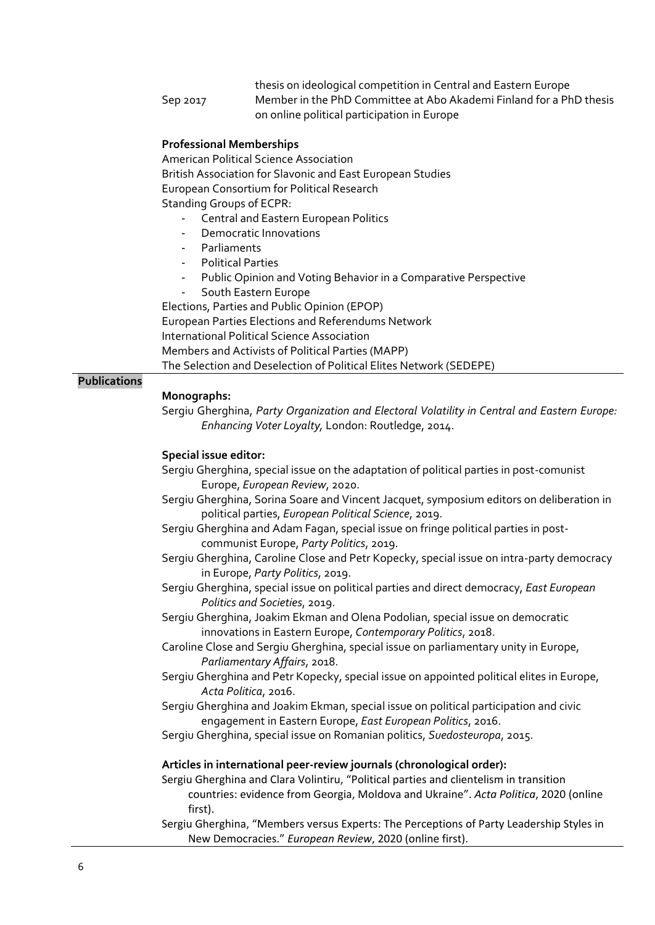thesis on ideological competition in Central and Eastern Europe Sep 2017 Member in the PhD Committee at Abo Akademi Finland for a PhD thesis on online political participation in Europe

#### **Professional Memberships**

American Political Science Association British Association for Slavonic and East European Studies European Consortium for Political Research Standing Groups of ECPR:

- Central and Eastern European Politics
- Democratic Innovations
- **Parliaments**
- Political Parties
- Public Opinion and Voting Behavior in a Comparative Perspective
- South Eastern Europe

Elections, Parties and Public Opinion (EPOP) European Parties Elections and Referendums Network International Political Science Association Members and Activists of Political Parties (MAPP) The Selection and Deselection of Political Elites Network (SEDEPE)

#### **Publications**

#### **Monographs:**

Sergiu Gherghina, *Party Organization and Electoral Volatility in Central and Eastern Europe: Enhancing Voter Loyalty,* London: Routledge, 2014.

#### **Special issue editor:**

- Sergiu Gherghina, special issue on the adaptation of political parties in post-comunist Europe, *European Review*, 2020.
- Sergiu Gherghina, Sorina Soare and Vincent Jacquet, symposium editors on deliberation in political parties, *European Political Science*, 2019.
- Sergiu Gherghina and Adam Fagan, special issue on fringe political parties in postcommunist Europe, *Party Politics*, 2019.
- Sergiu Gherghina, Caroline Close and Petr Kopecky, special issue on intra-party democracy in Europe, *Party Politics*, 2019.
- Sergiu Gherghina, special issue on political parties and direct democracy, *East European Politics and Societies*, 2019.
- Sergiu Gherghina, Joakim Ekman and Olena Podolian, special issue on democratic innovations in Eastern Europe, *Contemporary Politics*, 2018.
- Caroline Close and Sergiu Gherghina, special issue on parliamentary unity in Europe, *Parliamentary Affairs*, 2018.
- Sergiu Gherghina and Petr Kopecky, special issue on appointed political elites in Europe, *Acta Politica*, 2016.
- Sergiu Gherghina and Joakim Ekman, special issue on political participation and civic engagement in Eastern Europe, *East European Politics*, 2016.
- Sergiu Gherghina, special issue on Romanian politics, *Suedosteuropa*, 2015.

#### **Articles in international peer-review journals (chronological order):**

- Sergiu Gherghina and Clara Volintiru, "Political parties and clientelism in transition countries: evidence from Georgia, Moldova and Ukraine". *Acta Politica*, 2020 (online first).
- Sergiu Gherghina, "Members versus Experts: The Perceptions of Party Leadership Styles in New Democracies." *European Review*, 2020 (online first).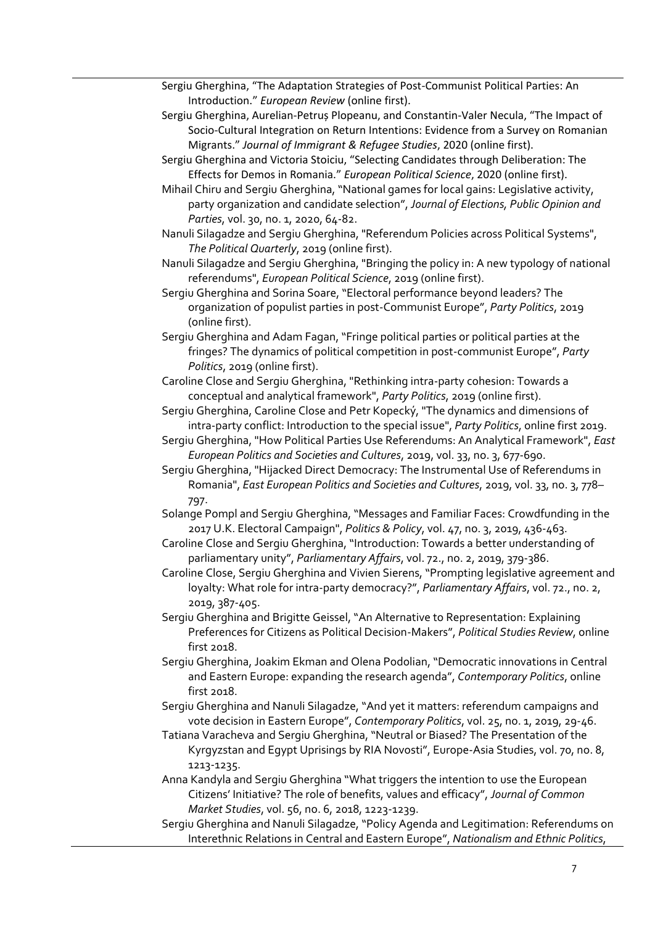- Sergiu Gherghina, "The Adaptation Strategies of Post-Communist Political Parties: An Introduction." *European Review* (online first).
- Sergiu Gherghina, Aurelian-Petruș Plopeanu, and Constantin-Valer Necula, "The Impact of Socio-Cultural Integration on Return Intentions: Evidence from a Survey on Romanian Migrants." *Journal of Immigrant & Refugee Studies*, 2020 (online first).
- Sergiu Gherghina and Victoria Stoiciu, "Selecting Candidates through Deliberation: The Effects for Demos in Romania." *European Political Science*, 2020 (online first).

Mihail Chiru and Sergiu Gherghina, "National games for local gains: Legislative activity, party organization and candidate selection", *Journal of Elections, Public Opinion and Parties*, vol. 30, no. 1, 2020, 64-82.

Nanuli Silagadze and Sergiu Gherghina, "Referendum Policies across Political Systems", *The Political Quarterly*, 2019 (online first).

Nanuli Silagadze and Sergiu Gherghina, "Bringing the policy in: A new typology of national referendums", *European Political Science*, 2019 (online first).

Sergiu Gherghina and Sorina Soare, "Electoral performance beyond leaders? The organization of populist parties in post-Communist Europe", *Party Politics*, 2019 (online first).

Sergiu Gherghina and Adam Fagan, "Fringe political parties or political parties at the fringes? The dynamics of political competition in post-communist Europe", *Party Politics*, 2019 (online first).

Caroline Close and Sergiu Gherghina, "Rethinking intra-party cohesion: Towards a conceptual and analytical framework", *Party Politics*, 2019 (online first).

Sergiu Gherghina, Caroline Close and Petr Kopecký, "The dynamics and dimensions of intra-party conflict: Introduction to the special issue", *Party Politics*, online first 2019.

Sergiu Gherghina, "How Political Parties Use Referendums: An Analytical Framework", *East European Politics and Societies and Cultures*, 2019, vol. 33, no. 3, 677-690.

Sergiu Gherghina, "Hijacked Direct Democracy: The Instrumental Use of Referendums in Romania", *East European Politics and Societies and Cultures*, 2019, vol. 33, no. 3, 778– 797.

Solange Pompl and Sergiu Gherghina, "Messages and Familiar Faces: Crowdfunding in the 2017 U.K. Electoral Campaign", *Politics & Policy*, vol. 47, no. 3, 2019, 436-463.

Caroline Close and Sergiu Gherghina, "Introduction: Towards a better understanding of parliamentary unity", *Parliamentary Affairs*, vol. 72., no. 2, 2019, 379-386.

Caroline Close, Sergiu Gherghina and Vivien Sierens, "Prompting legislative agreement and loyalty: What role for intra-party democracy?", *Parliamentary Affairs*, vol. 72., no. 2, 2019, 387-405.

Sergiu Gherghina and Brigitte Geissel, "An Alternative to Representation: Explaining Preferences for Citizens as Political Decision-Makers", *Political Studies Review*, online first 2018.

Sergiu Gherghina, Joakim Ekman and Olena Podolian, "Democratic innovations in Central and Eastern Europe: expanding the research agenda", *Contemporary Politics*, online first 2018.

Sergiu Gherghina and Nanuli Silagadze, "And yet it matters: referendum campaigns and vote decision in Eastern Europe", *Contemporary Politics*, vol. 25, no. 1, 2019, 29-46.

Tatiana Varacheva and Sergiu Gherghina, "Neutral or Biased? The Presentation of the Kyrgyzstan and Egypt Uprisings by RIA Novosti", Europe-Asia Studies, vol. 70, no. 8, 1213-1235.

Anna Kandyla and Sergiu Gherghina "What triggers the intention to use the European Citizens' Initiative? The role of benefits, values and efficacy", *Journal of Common Market Studies*, vol. 56, no. 6, 2018, 1223-1239.

Sergiu Gherghina and Nanuli Silagadze, "Policy Agenda and Legitimation: Referendums on Interethnic Relations in Central and Eastern Europe", *Nationalism and Ethnic Politics*,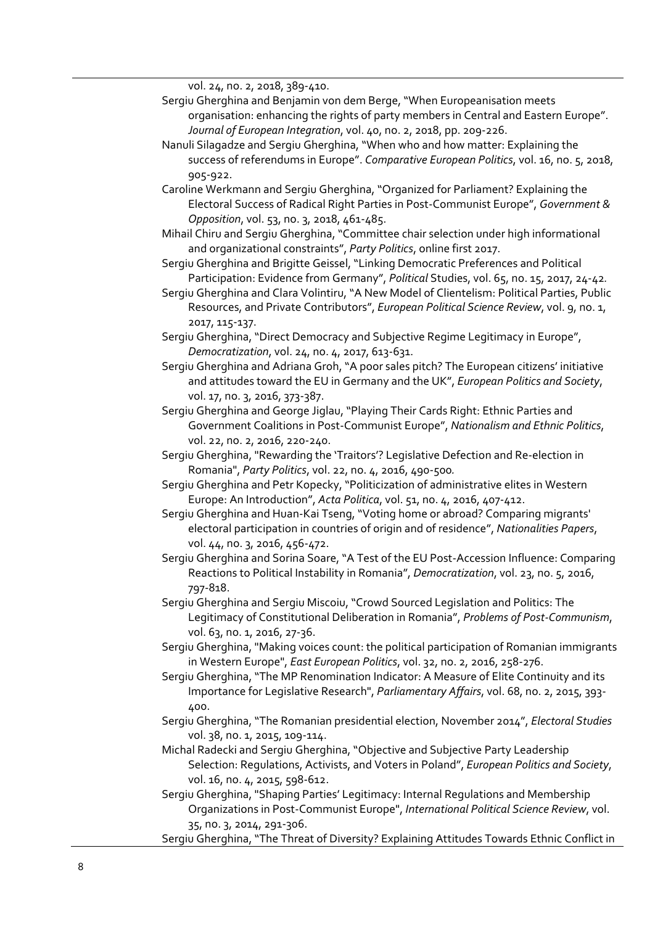vol. 24, no. 2, 2018, 389-410.

- Sergiu Gherghina and Benjamin von dem Berge, "When Europeanisation meets organisation: enhancing the rights of party members in Central and Eastern Europe". *Journal of European Integration*, vol. 40, no. 2, 2018, pp. 209-226.
- Nanuli Silagadze and Sergiu Gherghina, "When who and how matter: Explaining the success of referendums in Europe". *Comparative European Politics*, vol. 16, no. 5, 2018, 905-922.
- Caroline Werkmann and Sergiu Gherghina, "Organized for Parliament? Explaining the Electoral Success of Radical Right Parties in Post-Communist Europe", *Government & Opposition*, vol. 53, no. 3, 2018, 461-485.
- Mihail Chiru and Sergiu Gherghina, "Committee chair selection under high informational and organizational constraints", *Party Politics*, online first 2017.
- Sergiu Gherghina and Brigitte Geissel, "Linking Democratic Preferences and Political Participation: Evidence from Germany", *Political* Studies, vol. 65, no. 15, 2017, 24-42*.*
- Sergiu Gherghina and Clara Volintiru, "A New Model of Clientelism: Political Parties, Public Resources, and Private Contributors", *European Political Science Review*, vol. 9, no. 1, 2017, 115-137.
- Sergiu Gherghina, "Direct Democracy and Subjective Regime Legitimacy in Europe", *Democratization*, vol. 24, no. 4, 2017, 613-631.
- Sergiu Gherghina and Adriana Groh, "A poor sales pitch? The European citizens' initiative and attitudes toward the EU in Germany and the UK", *European Politics and Society*, vol. 17, no. 3, 2016, 373-387.
- Sergiu Gherghina and George Jiglau, "Playing Their Cards Right: Ethnic Parties and Government Coalitions in Post-Communist Europe", *Nationalism and Ethnic Politics*, vol. 22, no. 2, 2016, 220-240.
- Sergiu Gherghina, "Rewarding the 'Traitors'? Legislative Defection and Re-election in Romania", *Party Politics*, vol. 22, no. 4, 2016, 490-500*.*
- Sergiu Gherghina and Petr Kopecky, "Politicization of administrative elites in Western Europe: An Introduction", *Acta Politica*, vol. 51, no. 4, 2016, 407-412.
- Sergiu Gherghina and Huan-Kai Tseng, "Voting home or abroad? Comparing migrants' electoral participation in countries of origin and of residence", *Nationalities Papers*, vol. 44, no. 3, 2016, 456-472.
- Sergiu Gherghina and Sorina Soare, "A Test of the EU Post-Accession Influence: Comparing Reactions to Political Instability in Romania", *Democratization*, vol. 23, no. 5, 2016, 797-818.
- Sergiu Gherghina and Sergiu Miscoiu, "Crowd Sourced Legislation and Politics: The Legitimacy of Constitutional Deliberation in Romania", *Problems of Post-Communism*, vol. 63, no. 1, 2016, 27-36.
- Sergiu Gherghina, "Making voices count: the political participation of Romanian immigrants in Western Europe", *East European Politics*, vol. 32, no. 2, 2016, 258-276.
- Sergiu Gherghina, "The MP Renomination Indicator: A Measure of Elite Continuity and its Importance for Legislative Research", *Parliamentary Affairs*, vol. 68, no. 2, 2015, 393- 400.
- Sergiu Gherghina, "The Romanian presidential election, November 2014", *Electoral Studies* vol. 38, no. 1, 2015, 109-114.
- Michal Radecki and Sergiu Gherghina, "Objective and Subjective Party Leadership Selection: Regulations, Activists, and Voters in Poland", *European Politics and Society*, vol. 16, no. 4, 2015, 598-612.
- Sergiu Gherghina, "Shaping Parties' Legitimacy: Internal Regulations and Membership Organizations in Post‐Communist Europe", *International Political Science Review*, vol. 35, no. 3, 2014, 291-306.
- Sergiu Gherghina, "The Threat of Diversity? Explaining Attitudes Towards Ethnic Conflict in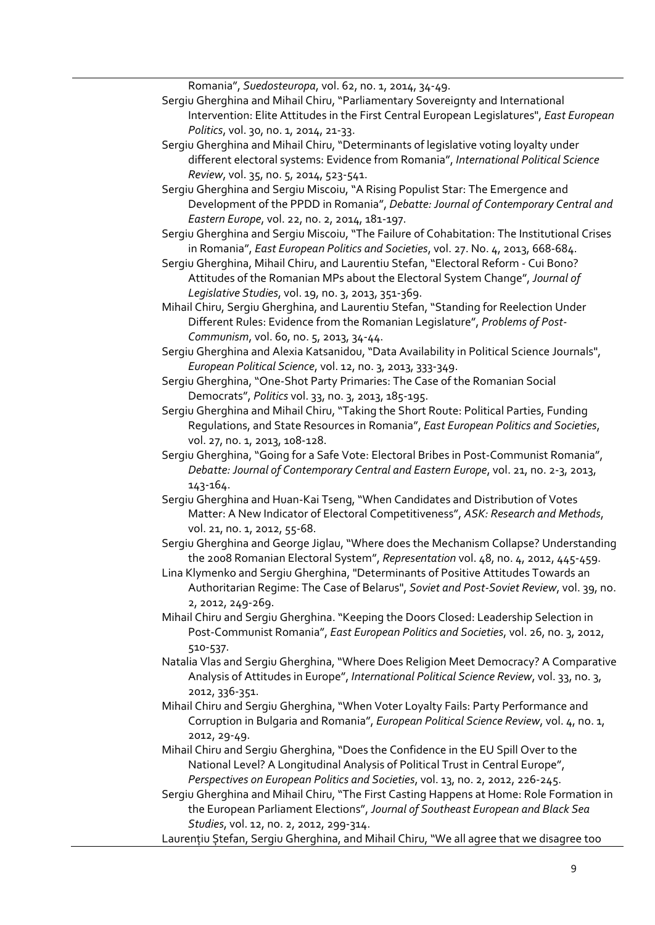Romania", *Suedosteuropa*, vol. 62, no. 1, 2014, 34-49.

- Sergiu Gherghina and Mihail Chiru, "Parliamentary Sovereignty and International Intervention: Elite Attitudes in the First Central European Legislatures", *East European Politics*, vol. 30, no. 1, 2014, 21-33.
- Sergiu Gherghina and Mihail Chiru, "Determinants of legislative voting loyalty under different electoral systems: Evidence from Romania", *International Political Science Review*, vol. 35, no. 5, 2014, 523-541.
- Sergiu Gherghina and Sergiu Miscoiu, "A Rising Populist Star: The Emergence and Development of the PPDD in Romania", *Debatte: Journal of Contemporary Central and Eastern Europe*, vol. 22, no. 2, 2014, 181-197.
- Sergiu Gherghina and Sergiu Miscoiu, "The Failure of Cohabitation: The Institutional Crises in Romania", *East European Politics and Societies*, vol. 27. No. 4, 2013, 668-684.
- Sergiu Gherghina, Mihail Chiru, and Laurentiu Stefan, "Electoral Reform Cui Bono? Attitudes of the Romanian MPs about the Electoral System Change", *Journal of Legislative Studies*, vol. 19, no. 3, 2013, 351-369.
- Mihail Chiru, Sergiu Gherghina, and Laurentiu Stefan, "Standing for Reelection Under Different Rules: Evidence from the Romanian Legislature", *Problems of Post-Communism*, vol. 60, no. 5, 2013, 34-44.
- Sergiu Gherghina and Alexia Katsanidou, "Data Availability in Political Science Journals", *European Political Science*, vol. 12, no. 3, 2013, 333-349.
- Sergiu Gherghina, "One-Shot Party Primaries: The Case of the Romanian Social Democrats", *Politics* vol. 33, no. 3, 2013, 185-195.
- Sergiu Gherghina and Mihail Chiru, "Taking the Short Route: Political Parties, Funding Regulations, and State Resources in Romania", *East European Politics and Societies*, vol. 27, no. 1, 2013, 108-128.
- Sergiu Gherghina, "Going for a Safe Vote: Electoral Bribes in Post-Communist Romania", *Debatte: Journal of Contemporary Central and Eastern Europe*, vol. 21, no. 2-3, 2013, 143-164.
- Sergiu Gherghina and Huan-Kai Tseng, "When Candidates and Distribution of Votes Matter: A New Indicator of Electoral Competitiveness", *ASK: Research and Methods*, vol. 21, no. 1, 2012, 55-68.
- Sergiu Gherghina and George Jiglau, "Where does the Mechanism Collapse? Understanding the 2008 Romanian Electoral System", *Representation* vol. 48, no. 4, 2012, 445-459.
- Lina Klymenko and Sergiu Gherghina, "Determinants of Positive Attitudes Towards an Authoritarian Regime: The Case of Belarus", *Soviet and Post-Soviet Review*, vol. 39, no. 2, 2012, 249-269.
- Mihail Chiru and Sergiu Gherghina. "Keeping the Doors Closed: Leadership Selection in Post-Communist Romania", *East European Politics and Societies*, vol. 26, no. 3, 2012, 510-537.
- Natalia Vlas and Sergiu Gherghina, "Where Does Religion Meet Democracy? A Comparative Analysis of Attitudes in Europe", *International Political Science Review*, vol. 33, no. 3, 2012, 336-351.
- Mihail Chiru and Sergiu Gherghina, "When Voter Loyalty Fails: Party Performance and Corruption in Bulgaria and Romania", *European Political Science Review*, vol. 4, no. 1, 2012, 29-49.
- Mihail Chiru and Sergiu Gherghina, "Does the Confidence in the EU Spill Over to the National Level? A Longitudinal Analysis of Political Trust in Central Europe", *Perspectives on European Politics and Societies*, vol. 13, no. 2, 2012, 226-245.
- Sergiu Gherghina and Mihail Chiru, "The First Casting Happens at Home: Role Formation in the European Parliament Elections", *Journal of Southeast European and Black Sea Studies*, vol. 12, no. 2, 2012, 299-314.
- Laurențiu Ștefan, Sergiu Gherghina, and Mihail Chiru, "We all agree that we disagree too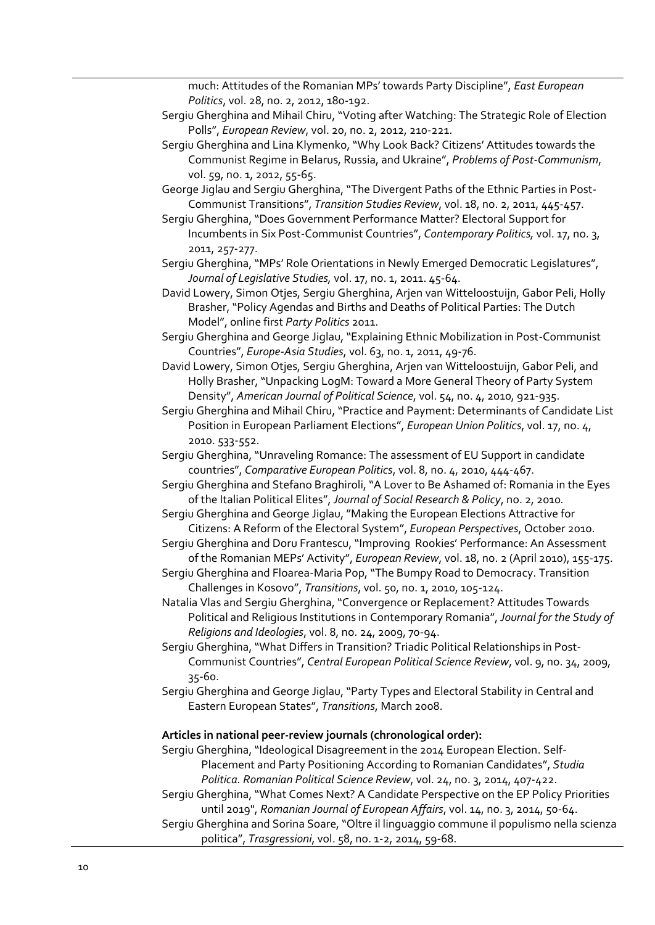much: Attitudes of the Romanian MPs' towards Party Discipline", *East European Politics*, vol. 28, no. 2, 2012, 180-192.

- Sergiu Gherghina and Mihail Chiru, "Voting after Watching: The Strategic Role of Election Polls", *European Review*, vol. 20, no. 2, 2012, 210-221.
- Sergiu Gherghina and Lina Klymenko, "Why Look Back? Citizens' Attitudes towards the Communist Regime in Belarus, Russia, and Ukraine", *Problems of Post-Communism*, vol. 59, no. 1, 2012, 55-65.
- George Jiglau and Sergiu Gherghina, "The Divergent Paths of the Ethnic Parties in Post-Communist Transitions", *Transition Studies Review*, vol. 18, no. 2, 2011, 445-457.
- Sergiu Gherghina, "Does Government Performance Matter? Electoral Support for Incumbents in Six Post-Communist Countries", *Contemporary Politics,* vol. 17, no. 3, 2011, 257-277.
- Sergiu Gherghina, "MPs' Role Orientations in Newly Emerged Democratic Legislatures", *Journal of Legislative Studies,* vol. 17, no. 1, 2011. 45-64.
- David Lowery, Simon Otjes, Sergiu Gherghina, Arjen van Witteloostuijn, Gabor Peli, Holly Brasher, "Policy Agendas and Births and Deaths of Political Parties: The Dutch Model", online first *Party Politics* 2011.

Sergiu Gherghina and George Jiglau, "Explaining Ethnic Mobilization in Post-Communist Countries", *Europe-Asia Studies*, vol. 63, no. 1, 2011, 49-76.

- David Lowery, Simon Otjes, Sergiu Gherghina, Arjen van Witteloostuijn, Gabor Peli, and Holly Brasher, "Unpacking LogM: Toward a More General Theory of Party System Density", *American Journal of Political Science*, vol. 54, no. 4, 2010, 921-935.
- Sergiu Gherghina and Mihail Chiru, "Practice and Payment: Determinants of Candidate List Position in European Parliament Elections", *European Union Politics*, vol. 17, no. 4, 2010. 533-552.
- Sergiu Gherghina, "Unraveling Romance: The assessment of EU Support in candidate countries", *Comparative European Politics*, vol. 8, no. 4, 2010, 444-467.
- Sergiu Gherghina and Stefano Braghiroli, "A Lover to Be Ashamed of: Romania in the Eyes of the Italian Political Elites", *Journal of Social Research & Policy*, no. 2, 2010*.*
- Sergiu Gherghina and George Jiglau, "Making the European Elections Attractive for Citizens: A Reform of the Electoral System", *European Perspectives*, October 2010.
- Sergiu Gherghina and Doru Frantescu, "Improving Rookies' Performance: An Assessment of the Romanian MEPs' Activity", *European Review*, vol. 18, no. 2 (April 2010), 155-175.
- Sergiu Gherghina and Floarea-Maria Pop, "The Bumpy Road to Democracy. Transition Challenges in Kosovo", *Transitions*, vol. 50, no. 1, 2010, 105-124.
- Natalia Vlas and Sergiu Gherghina, "Convergence or Replacement? Attitudes Towards Political and Religious Institutions in Contemporary Romania", *Journal for the Study of Religions and Ideologies*, vol. 8, no. 24, 2009, 70-94.
- Sergiu Gherghina, "What Differs in Transition? Triadic Political Relationships in Post-Communist Countries", *Central European Political Science Review*, vol. 9, no. 34, 2009, 35-60.
- Sergiu Gherghina and George Jiglau, "Party Types and Electoral Stability in Central and Eastern European States", *Transitions*, March 2008.

#### **Articles in national peer-review journals (chronological order):**

- Sergiu Gherghina, "Ideological Disagreement in the 2014 European Election. Self-Placement and Party Positioning According to Romanian Candidates", *Studia Politica. Romanian Political Science Review*, vol. 24, no. 3, 2014, 407-422.
- Sergiu Gherghina, "What Comes Next? A Candidate Perspective on the EP Policy Priorities until 2019", *Romanian Journal of European Affairs*, vol. 14, no. 3, 2014, 50-64.
- Sergiu Gherghina and Sorina Soare, "Oltre il linguaggio commune il populismo nella scienza
	- politica", *Trasgressioni*, vol. 58, no. 1-2, 2014, 59-68.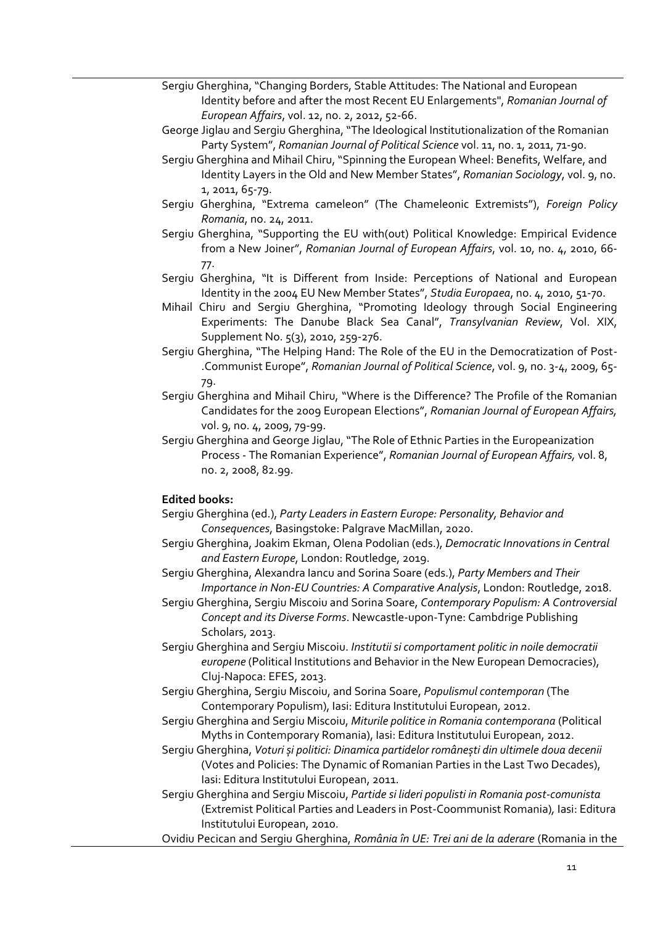- Sergiu Gherghina, "Changing Borders, Stable Attitudes: The National and European Identity before and after the most Recent EU Enlargements", *Romanian Journal of European Affairs*, vol. 12, no. 2, 2012, 52-66.
- George Jiglau and Sergiu Gherghina, "The Ideological Institutionalization of the Romanian Party System", *Romanian Journal of Political Science* vol. 11, no. 1, 2011, 71-90.
- Sergiu Gherghina and Mihail Chiru, "Spinning the European Wheel: Benefits, Welfare, and Identity Layers in the Old and New Member States", *Romanian Sociology*, vol. 9, no. 1, 2011, 65-79.
- Sergiu Gherghina, "Extrema cameleon" (The Chameleonic Extremists"), *Foreign Policy Romania*, no. 24, 2011.
- Sergiu Gherghina, "Supporting the EU with(out) Political Knowledge: Empirical Evidence from a New Joiner", *Romanian Journal of European Affairs*, vol. 10, no. 4, 2010, 66- 77.
- Sergiu Gherghina, "It is Different from Inside: Perceptions of National and European Identity in the 2004 EU New Member States", *Studia Europaea*, no. 4, 2010, 51-70.
- Mihail Chiru and Sergiu Gherghina, "Promoting Ideology through Social Engineering Experiments: The Danube Black Sea Canal", *Transylvanian Review*, Vol. XIX, Supplement No. 5(3), 2010, 259-276.
- Sergiu Gherghina, "The Helping Hand: The Role of the EU in the Democratization of Post- .Communist Europe", *Romanian Journal of Political Science*, vol. 9, no. 3-4, 2009, 65- 79.
- Sergiu Gherghina and Mihail Chiru, "Where is the Difference? The Profile of the Romanian Candidates for the 2009 European Elections", *Romanian Journal of European Affairs,*  vol. 9, no. 4, 2009, 79-99.
- Sergiu Gherghina and George Jiglau, "The Role of Ethnic Parties in the Europeanization Process - The Romanian Experience", *Romanian Journal of European Affairs,* vol. 8, no. 2, 2008, 82.99.

## **Edited books:**

- Sergiu Gherghina (ed.), *Party Leaders in Eastern Europe: Personality, Behavior and Consequences*, Basingstoke: Palgrave MacMillan, 2020.
- Sergiu Gherghina, Joakim Ekman, Olena Podolian (eds.), *Democratic Innovations in Central and Eastern Europe*, London: Routledge, 2019.
- Sergiu Gherghina, Alexandra Iancu and Sorina Soare (eds.), *Party Members and Their Importance in Non-EU Countries: A Comparative Analysis*, London: Routledge, 2018.
- Sergiu Gherghina, Sergiu Miscoiu and Sorina Soare, *Contemporary Populism: A Controversial Concept and its Diverse Forms*. Newcastle-upon-Tyne: Cambdrige Publishing Scholars, 2013.
- Sergiu Gherghina and Sergiu Miscoiu. *Institutii si comportament politic in noile democratii europene* (Political Institutions and Behavior in the New European Democracies), Cluj-Napoca: EFES, 2013.
- Sergiu Gherghina, Sergiu Miscoiu, and Sorina Soare, *Populismul contemporan* (The Contemporary Populism), Iasi: Editura Institutului European, 2012.
- Sergiu Gherghina and Sergiu Miscoiu, *Miturile politice in Romania contemporana* (Political Myths in Contemporary Romania), Iasi: Editura Institutului European, 2012.
- Sergiu Gherghina, *Voturi și politici: Dinamica partidelor românești din ultimele doua decenii*  (Votes and Policies: The Dynamic of Romanian Parties in the Last Two Decades), Iasi: Editura Institutului European, 2011.
- Sergiu Gherghina and Sergiu Miscoiu, *Partide si lideri populisti in Romania post-comunista*  (Extremist Political Parties and Leaders in Post-Coommunist Romania)*,* Iasi: Editura Institutului European, 2010.
- Ovidiu Pecican and Sergiu Gherghina, *România în UE: Trei ani de la aderare* (Romania in the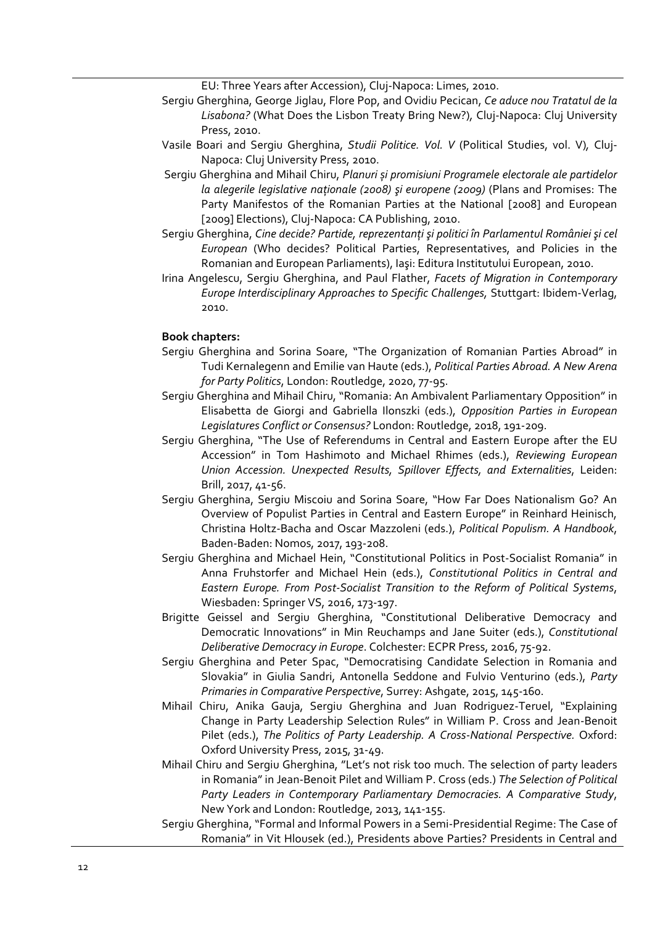EU: Three Years after Accession), Cluj-Napoca: Limes, 2010.

- Sergiu Gherghina, George Jiglau, Flore Pop, and Ovidiu Pecican, *Ce aduce nou Tratatul de la Lisabona?* (What Does the Lisbon Treaty Bring New?)*,* Cluj-Napoca: Cluj University Press, 2010.
- Vasile Boari and Sergiu Gherghina, *Studii Politice. Vol. V* (Political Studies, vol. V)*,* Cluj-Napoca: Cluj University Press, 2010.
- Sergiu Gherghina and Mihail Chiru, *Planuri și promisiuni Programele electorale ale partidelor la alegerile legislative naţionale (2008) şi europene (2009)* (Plans and Promises: The Party Manifestos of the Romanian Parties at the National [2008] and European [2009] Elections), Cluj-Napoca: CA Publishing, 2010.
- Sergiu Gherghina, *Cine decide? Partide, reprezentanţi şi politici în Parlamentul României şi cel European* (Who decides? Political Parties, Representatives, and Policies in the Romanian and European Parliaments), Iaşi: Editura Institutului European, 2010.
- Irina Angelescu, Sergiu Gherghina, and Paul Flather, *Facets of Migration in Contemporary Europe Interdisciplinary Approaches to Specific Challenges,* Stuttgart: Ibidem-Verlag, 2010.

#### **Book chapters:**

- Sergiu Gherghina and Sorina Soare, "The Organization of Romanian Parties Abroad" in Tudi Kernalegenn and Emilie van Haute (eds.), *Political Parties Abroad. A New Arena for Party Politics*, London: Routledge, 2020, 77-95.
- Sergiu Gherghina and Mihail Chiru, "Romania: An Ambivalent Parliamentary Opposition" in Elisabetta de Giorgi and Gabriella Ilonszki (eds.), *Opposition Parties in European Legislatures Conflict or Consensus?* London: Routledge, 2018, 191-209.
- Sergiu Gherghina, "The Use of Referendums in Central and Eastern Europe after the EU Accession" in Tom Hashimoto and Michael Rhimes (eds.), *Reviewing European Union Accession. Unexpected Results, Spillover Effects, and Externalities*, Leiden: Brill, 2017, 41-56.
- Sergiu Gherghina, Sergiu Miscoiu and Sorina Soare, "How Far Does Nationalism Go? An Overview of Populist Parties in Central and Eastern Europe" in Reinhard Heinisch, Christina Holtz-Bacha and Oscar Mazzoleni (eds.), *Political Populism. A Handbook*, Baden-Baden: Nomos, 2017, 193-208.
- Sergiu Gherghina and Michael Hein, "Constitutional Politics in Post-Socialist Romania" in Anna Fruhstorfer and Michael Hein (eds.), *Constitutional Politics in Central and Eastern Europe. From Post-Socialist Transition to the Reform of Political Systems*, Wiesbaden: Springer VS, 2016, 173-197.
- Brigitte Geissel and Sergiu Gherghina, "Constitutional Deliberative Democracy and Democratic Innovations" in Min Reuchamps and Jane Suiter (eds.), *Constitutional Deliberative Democracy in Europe*. Colchester: ECPR Press, 2016, 75-92.
- Sergiu Gherghina and Peter Spac, "Democratising Candidate Selection in Romania and Slovakia" in Giulia Sandri, Antonella Seddone and Fulvio Venturino (eds.), *Party Primaries in Comparative Perspective*, Surrey: Ashgate, 2015, 145-160.
- Mihail Chiru, Anika Gauja, Sergiu Gherghina and Juan Rodriguez-Teruel, "Explaining Change in Party Leadership Selection Rules" in William P. Cross and Jean-Benoit Pilet (eds.), *The Politics of Party Leadership. A Cross-National Perspective.* Oxford: Oxford University Press, 2015, 31-49.
- Mihail Chiru and Sergiu Gherghina, "Let's not risk too much. The selection of party leaders in Romania" in Jean-Benoit Pilet and William P. Cross (eds.) *The Selection of Political Party Leaders in Contemporary Parliamentary Democracies. A Comparative Study*, New York and London: Routledge, 2013, 141-155.
- Sergiu Gherghina, "Formal and Informal Powers in a Semi-Presidential Regime: The Case of Romania" in Vit Hlousek (ed.), Presidents above Parties? Presidents in Central and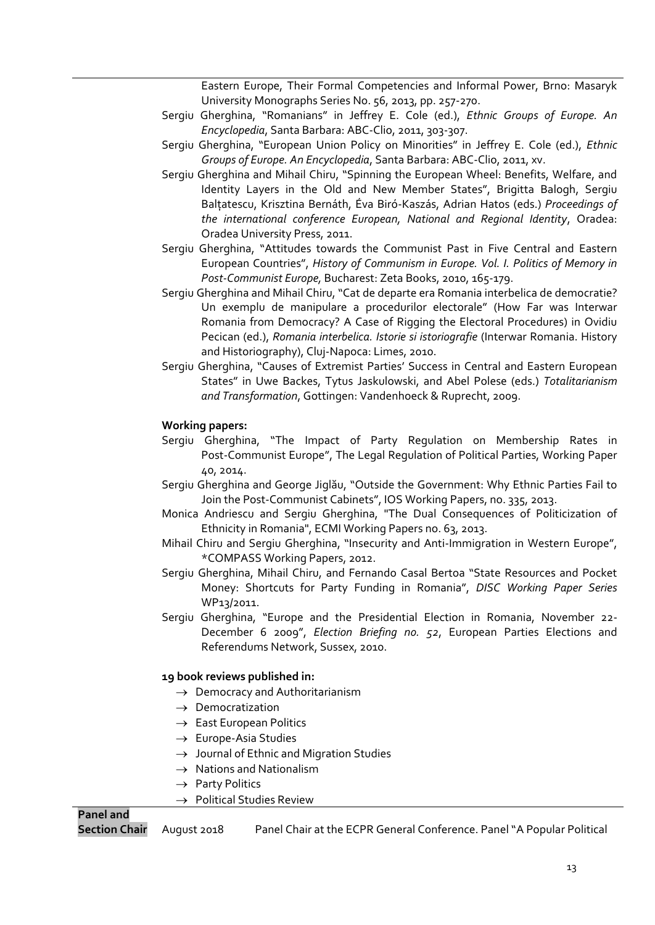Eastern Europe, Their Formal Competencies and Informal Power, Brno: Masaryk University Monographs Series No. 56, 2013, pp. 257-270.

- Sergiu Gherghina, "Romanians" in Jeffrey E. Cole (ed.), *Ethnic Groups of Europe. An Encyclopedia*, Santa Barbara: ABC-Clio, 2011, 303-307.
- Sergiu Gherghina, "European Union Policy on Minorities" in Jeffrey E. Cole (ed.), *Ethnic Groups of Europe. An Encyclopedia*, Santa Barbara: ABC-Clio, 2011, xv.
- Sergiu Gherghina and Mihail Chiru, "Spinning the European Wheel: Benefits, Welfare, and Identity Layers in the Old and New Member States", Brigitta Balogh, Sergiu Balțatescu, Krisztina Bernáth, Éva Biró-Kaszás, Adrian Hatos (eds.) *Proceedings of the international conference European, National and Regional Identity*, Oradea: Oradea University Press, 2011.
- Sergiu Gherghina, "Attitudes towards the Communist Past in Five Central and Eastern European Countries", *History of Communism in Europe. Vol. I. Politics of Memory in Post-Communist Europe,* Bucharest: Zeta Books, 2010, 165-179.
- Sergiu Gherghina and Mihail Chiru, "Cat de departe era Romania interbelica de democratie? Un exemplu de manipulare a procedurilor electorale" (How Far was Interwar Romania from Democracy? A Case of Rigging the Electoral Procedures) in Ovidiu Pecican (ed.), *Romania interbelica. Istorie si istoriografie* (Interwar Romania. History and Historiography), Cluj-Napoca: Limes, 2010.
- Sergiu Gherghina, "Causes of Extremist Parties' Success in Central and Eastern European States" in Uwe Backes, Tytus Jaskulowski, and Abel Polese (eds.) *Totalitarianism and Transformation*, Gottingen: Vandenhoeck & Ruprecht, 2009.

## **Working papers:**

- Sergiu Gherghina, "The Impact of Party Regulation on Membership Rates in Post-Communist Europe", The Legal Regulation of Political Parties, Working Paper 40, 2014.
- Sergiu Gherghina and George Jiglău, "Outside the Government: Why Ethnic Parties Fail to Join the Post-Communist Cabinets", IOS Working Papers, no. 335, 2013.
- Monica Andriescu and Sergiu Gherghina, "The Dual Consequences of Politicization of Ethnicity in Romania", ECMI Working Papers no. 63, 2013.
- Mihail Chiru and Sergiu Gherghina, "Insecurity and Anti-Immigration in Western Europe", \*COMPASS Working Papers, 2012.
- Sergiu Gherghina, Mihail Chiru, and Fernando Casal Bertoa "State Resources and Pocket Money: Shortcuts for Party Funding in Romania", *DISC Working Paper Series* WP13/2011.
- Sergiu Gherghina, "Europe and the Presidential Election in Romania, November 22- December 6 2009", *Election Briefing no. 52*, European Parties Elections and Referendums Network, Sussex, 2010.

## **19 book reviews published in:**

- $\rightarrow$  Democracy and Authoritarianism
- $\rightarrow$  Democratization
- $\rightarrow$  East European Politics
- $\rightarrow$  Europe-Asia Studies
- $\rightarrow$  Journal of Ethnic and Migration Studies
- $\rightarrow$  Nations and Nationalism
- $\rightarrow$  Party Politics
- $\rightarrow$  Political Studies Review

**Section Chair** August 2018 Panel Chair at the ECPR General Conference. Panel "A Popular Political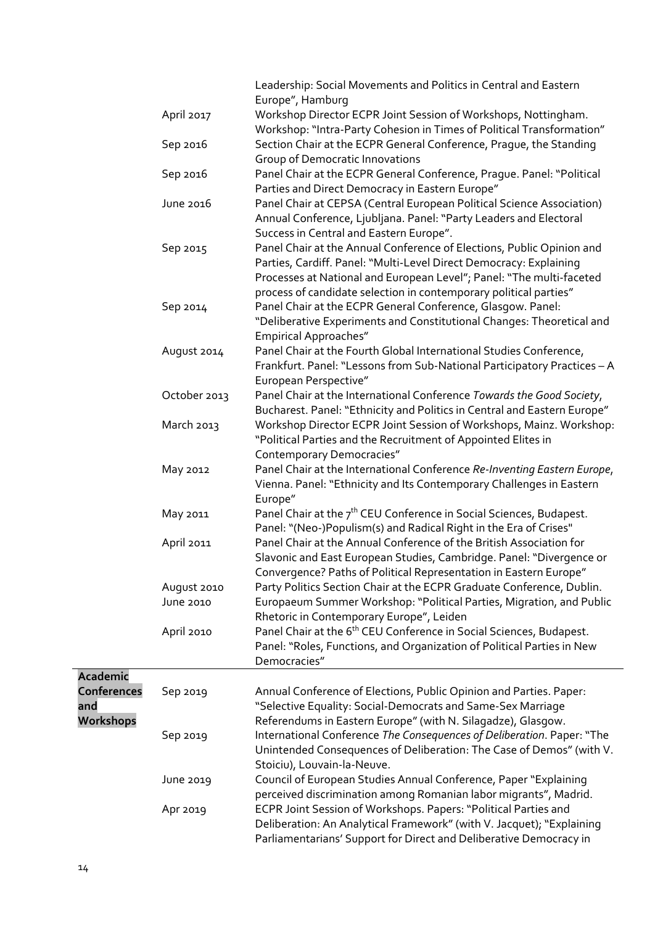|                    |              | Leadership: Social Movements and Politics in Central and Eastern                |
|--------------------|--------------|---------------------------------------------------------------------------------|
|                    |              | Europe", Hamburg                                                                |
|                    | April 2017   | Workshop Director ECPR Joint Session of Workshops, Nottingham.                  |
|                    |              | Workshop: "Intra-Party Cohesion in Times of Political Transformation"           |
|                    | Sep 2016     | Section Chair at the ECPR General Conference, Prague, the Standing              |
|                    |              | Group of Democratic Innovations                                                 |
|                    | Sep 2016     | Panel Chair at the ECPR General Conference, Prague. Panel: "Political           |
|                    |              | Parties and Direct Democracy in Eastern Europe"                                 |
|                    | June 2016    | Panel Chair at CEPSA (Central European Political Science Association)           |
|                    |              | Annual Conference, Ljubljana. Panel: "Party Leaders and Electoral               |
|                    |              | Success in Central and Eastern Europe".                                         |
|                    | Sep 2015     | Panel Chair at the Annual Conference of Elections, Public Opinion and           |
|                    |              | Parties, Cardiff. Panel: "Multi-Level Direct Democracy: Explaining              |
|                    |              | Processes at National and European Level"; Panel: "The multi-faceted            |
|                    |              | process of candidate selection in contemporary political parties"               |
|                    | Sep 2014     | Panel Chair at the ECPR General Conference, Glasgow. Panel:                     |
|                    |              | "Deliberative Experiments and Constitutional Changes: Theoretical and           |
|                    |              | <b>Empirical Approaches"</b>                                                    |
|                    | August 2014  | Panel Chair at the Fourth Global International Studies Conference,              |
|                    |              | Frankfurt. Panel: "Lessons from Sub-National Participatory Practices - A        |
|                    |              |                                                                                 |
|                    |              | European Perspective"                                                           |
|                    | October 2013 | Panel Chair at the International Conference Towards the Good Society,           |
|                    |              | Bucharest. Panel: "Ethnicity and Politics in Central and Eastern Europe"        |
|                    | March 2013   | Workshop Director ECPR Joint Session of Workshops, Mainz. Workshop:             |
|                    |              | "Political Parties and the Recruitment of Appointed Elites in                   |
|                    |              | <b>Contemporary Democracies"</b>                                                |
|                    | May 2012     | Panel Chair at the International Conference Re-Inventing Eastern Europe,        |
|                    |              | Vienna. Panel: "Ethnicity and Its Contemporary Challenges in Eastern            |
|                    |              | Europe"                                                                         |
|                    | May 2011     | Panel Chair at the $7th$ CEU Conference in Social Sciences, Budapest.           |
|                    |              | Panel: "(Neo-)Populism(s) and Radical Right in the Era of Crises"               |
|                    | April 2011   | Panel Chair at the Annual Conference of the British Association for             |
|                    |              | Slavonic and East European Studies, Cambridge. Panel: "Divergence or            |
|                    |              | Convergence? Paths of Political Representation in Eastern Europe"               |
|                    | August 2010  | Party Politics Section Chair at the ECPR Graduate Conference, Dublin.           |
|                    | June 2010    | Europaeum Summer Workshop: "Political Parties, Migration, and Public            |
|                    |              | Rhetoric in Contemporary Europe", Leiden                                        |
|                    | April 2010   | Panel Chair at the 6 <sup>th</sup> CEU Conference in Social Sciences, Budapest. |
|                    |              | Panel: "Roles, Functions, and Organization of Political Parties in New          |
|                    |              | Democracies"                                                                    |
| <b>Academic</b>    |              |                                                                                 |
| <b>Conferences</b> | Sep 2019     | Annual Conference of Elections, Public Opinion and Parties. Paper:              |
| and                |              | "Selective Equality: Social-Democrats and Same-Sex Marriage                     |
| Workshops          |              | Referendums in Eastern Europe" (with N. Silagadze), Glasgow.                    |
|                    | Sep 2019     | International Conference The Consequences of Deliberation. Paper: "The          |
|                    |              | Unintended Consequences of Deliberation: The Case of Demos" (with V.            |
|                    |              | Stoiciu), Louvain-la-Neuve.                                                     |
|                    | June 2019    | Council of European Studies Annual Conference, Paper "Explaining                |
|                    |              | perceived discrimination among Romanian labor migrants", Madrid.                |
|                    |              |                                                                                 |
|                    | Apr 2019     | ECPR Joint Session of Workshops. Papers: "Political Parties and                 |
|                    |              | Deliberation: An Analytical Framework" (with V. Jacquet); "Explaining           |
|                    |              | Parliamentarians' Support for Direct and Deliberative Democracy in              |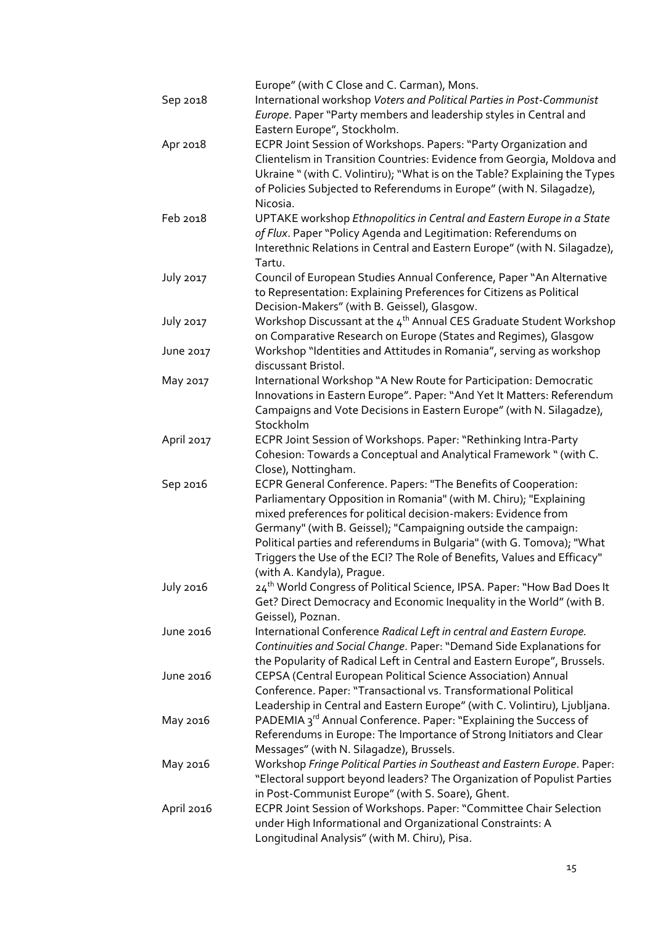|                  | Europe" (with C Close and C. Carman), Mons.                                               |
|------------------|-------------------------------------------------------------------------------------------|
| Sep 2018         | International workshop Voters and Political Parties in Post-Communist                     |
|                  | Europe. Paper "Party members and leadership styles in Central and                         |
|                  | Eastern Europe", Stockholm.                                                               |
| Apr 2018         | ECPR Joint Session of Workshops. Papers: "Party Organization and                          |
|                  | Clientelism in Transition Countries: Evidence from Georgia, Moldova and                   |
|                  | Ukraine " (with C. Volintiru); "What is on the Table? Explaining the Types                |
|                  | of Policies Subjected to Referendums in Europe" (with N. Silagadze),                      |
|                  | Nicosia.                                                                                  |
| Feb 2018         | UPTAKE workshop Ethnopolitics in Central and Eastern Europe in a State                    |
|                  | of Flux. Paper "Policy Agenda and Legitimation: Referendums on                            |
|                  | Interethnic Relations in Central and Eastern Europe" (with N. Silagadze),                 |
|                  | Tartu.                                                                                    |
| <b>July 2017</b> | Council of European Studies Annual Conference, Paper "An Alternative                      |
|                  | to Representation: Explaining Preferences for Citizens as Political                       |
|                  | Decision-Makers" (with B. Geissel), Glasgow.                                              |
| <b>July 2017</b> | Workshop Discussant at the 4 <sup>th</sup> Annual CES Graduate Student Workshop           |
|                  | on Comparative Research on Europe (States and Regimes), Glasgow                           |
| June 2017        | Workshop "Identities and Attitudes in Romania", serving as workshop                       |
|                  | discussant Bristol.                                                                       |
| May 2017         | International Workshop "A New Route for Participation: Democratic                         |
|                  | Innovations in Eastern Europe". Paper: "And Yet It Matters: Referendum                    |
|                  | Campaigns and Vote Decisions in Eastern Europe" (with N. Silagadze),                      |
|                  | Stockholm                                                                                 |
| April 2017       | ECPR Joint Session of Workshops. Paper: "Rethinking Intra-Party                           |
|                  | Cohesion: Towards a Conceptual and Analytical Framework " (with C.                        |
|                  | Close), Nottingham.                                                                       |
| Sep 2016         | ECPR General Conference. Papers: "The Benefits of Cooperation:                            |
|                  | Parliamentary Opposition in Romania" (with M. Chiru); "Explaining                         |
|                  | mixed preferences for political decision-makers: Evidence from                            |
|                  | Germany" (with B. Geissel); "Campaigning outside the campaign:                            |
|                  | Political parties and referendums in Bulgaria" (with G. Tomova); "What                    |
|                  | Triggers the Use of the ECI? The Role of Benefits, Values and Efficacy"                   |
|                  | (with A. Kandyla), Prague.                                                                |
| <b>July 2016</b> | 24 <sup>th</sup> World Congress of Political Science, IPSA. Paper: "How Bad Does It       |
|                  | Get? Direct Democracy and Economic Inequality in the World" (with B.                      |
| June 2016        | Geissel), Poznan.<br>International Conference Radical Left in central and Eastern Europe. |
|                  | Continuities and Social Change. Paper: "Demand Side Explanations for                      |
|                  | the Popularity of Radical Left in Central and Eastern Europe", Brussels.                  |
| June 2016        | CEPSA (Central European Political Science Association) Annual                             |
|                  | Conference. Paper: "Transactional vs. Transformational Political                          |
|                  | Leadership in Central and Eastern Europe" (with C. Volintiru), Ljubljana.                 |
| May 2016         | PADEMIA 3rd Annual Conference. Paper: "Explaining the Success of                          |
|                  | Referendums in Europe: The Importance of Strong Initiators and Clear                      |
|                  | Messages" (with N. Silagadze), Brussels.                                                  |
| May 2016         | Workshop Fringe Political Parties in Southeast and Eastern Europe. Paper:                 |
|                  | "Electoral support beyond leaders? The Organization of Populist Parties                   |
|                  | in Post-Communist Europe" (with S. Soare), Ghent.                                         |
| April 2016       | ECPR Joint Session of Workshops. Paper: "Committee Chair Selection                        |
|                  | under High Informational and Organizational Constraints: A                                |
|                  | Longitudinal Analysis" (with M. Chiru), Pisa.                                             |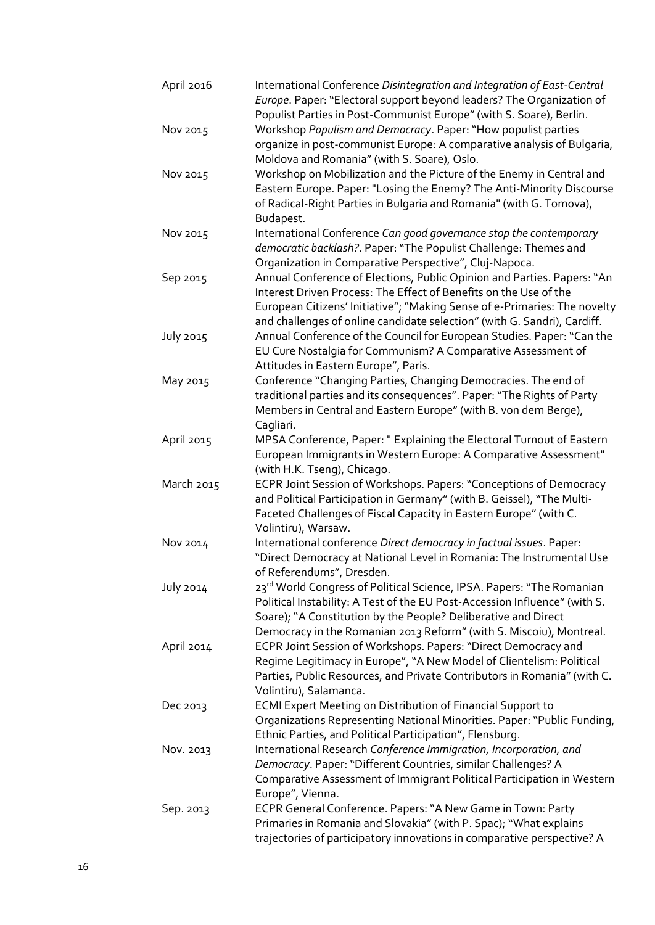| April 2016       | International Conference Disintegration and Integration of East-Central<br>Europe. Paper: "Electoral support beyond leaders? The Organization of                                                               |
|------------------|----------------------------------------------------------------------------------------------------------------------------------------------------------------------------------------------------------------|
| Nov 2015         | Populist Parties in Post-Communist Europe" (with S. Soare), Berlin.<br>Workshop Populism and Democracy. Paper: "How populist parties<br>organize in post-communist Europe: A comparative analysis of Bulgaria, |
|                  | Moldova and Romania" (with S. Soare), Oslo.                                                                                                                                                                    |
| Nov 2015         | Workshop on Mobilization and the Picture of the Enemy in Central and                                                                                                                                           |
|                  | Eastern Europe. Paper: "Losing the Enemy? The Anti-Minority Discourse<br>of Radical-Right Parties in Bulgaria and Romania" (with G. Tomova),                                                                   |
|                  | Budapest.                                                                                                                                                                                                      |
| Nov 2015         | International Conference Can good governance stop the contemporary                                                                                                                                             |
|                  | democratic backlash?. Paper: "The Populist Challenge: Themes and<br>Organization in Comparative Perspective", Cluj-Napoca.                                                                                     |
|                  |                                                                                                                                                                                                                |
| Sep 2015         | Annual Conference of Elections, Public Opinion and Parties. Papers: "An<br>Interest Driven Process: The Effect of Benefits on the Use of the                                                                   |
|                  | European Citizens' Initiative"; "Making Sense of e-Primaries: The novelty                                                                                                                                      |
|                  | and challenges of online candidate selection" (with G. Sandri), Cardiff.                                                                                                                                       |
| July 2015        | Annual Conference of the Council for European Studies. Paper: "Can the                                                                                                                                         |
|                  | EU Cure Nostalgia for Communism? A Comparative Assessment of                                                                                                                                                   |
|                  | Attitudes in Eastern Europe", Paris.                                                                                                                                                                           |
| May 2015         | Conference "Changing Parties, Changing Democracies. The end of                                                                                                                                                 |
|                  | traditional parties and its consequences". Paper: "The Rights of Party                                                                                                                                         |
|                  | Members in Central and Eastern Europe" (with B. von dem Berge),                                                                                                                                                |
|                  | Cagliari.                                                                                                                                                                                                      |
| April 2015       | MPSA Conference, Paper: " Explaining the Electoral Turnout of Eastern                                                                                                                                          |
|                  | European Immigrants in Western Europe: A Comparative Assessment"                                                                                                                                               |
|                  |                                                                                                                                                                                                                |
|                  | (with H.K. Tseng), Chicago.                                                                                                                                                                                    |
| March 2015       | ECPR Joint Session of Workshops. Papers: "Conceptions of Democracy                                                                                                                                             |
|                  | and Political Participation in Germany" (with B. Geissel), "The Multi-                                                                                                                                         |
|                  | Faceted Challenges of Fiscal Capacity in Eastern Europe" (with C.                                                                                                                                              |
|                  | Volintiru), Warsaw.                                                                                                                                                                                            |
| Nov 2014         | International conference Direct democracy in factual issues. Paper:                                                                                                                                            |
|                  | "Direct Democracy at National Level in Romania: The Instrumental Use                                                                                                                                           |
|                  | of Referendums", Dresden.                                                                                                                                                                                      |
| <b>July 2014</b> | 23 <sup>rd</sup> World Congress of Political Science, IPSA. Papers: "The Romanian                                                                                                                              |
|                  | Political Instability: A Test of the EU Post-Accession Influence" (with S.                                                                                                                                     |
|                  | Soare); "A Constitution by the People? Deliberative and Direct                                                                                                                                                 |
|                  | Democracy in the Romanian 2013 Reform" (with S. Miscoiu), Montreal.                                                                                                                                            |
| April 2014       | ECPR Joint Session of Workshops. Papers: "Direct Democracy and                                                                                                                                                 |
|                  | Regime Legitimacy in Europe", "A New Model of Clientelism: Political                                                                                                                                           |
|                  | Parties, Public Resources, and Private Contributors in Romania" (with C.                                                                                                                                       |
|                  | Volintiru), Salamanca.                                                                                                                                                                                         |
| Dec 2013         | <b>ECMI Expert Meeting on Distribution of Financial Support to</b>                                                                                                                                             |
|                  | Organizations Representing National Minorities. Paper: "Public Funding,                                                                                                                                        |
|                  | Ethnic Parties, and Political Participation", Flensburg.                                                                                                                                                       |
| Nov. 2013        | International Research Conference Immigration, Incorporation, and                                                                                                                                              |
|                  |                                                                                                                                                                                                                |
|                  | Democracy. Paper: "Different Countries, similar Challenges? A                                                                                                                                                  |
|                  | Comparative Assessment of Immigrant Political Participation in Western                                                                                                                                         |
|                  | Europe", Vienna.                                                                                                                                                                                               |
| Sep. 2013        | ECPR General Conference. Papers: "A New Game in Town: Party                                                                                                                                                    |
|                  | Primaries in Romania and Slovakia" (with P. Spac); "What explains                                                                                                                                              |
|                  | trajectories of participatory innovations in comparative perspective? A                                                                                                                                        |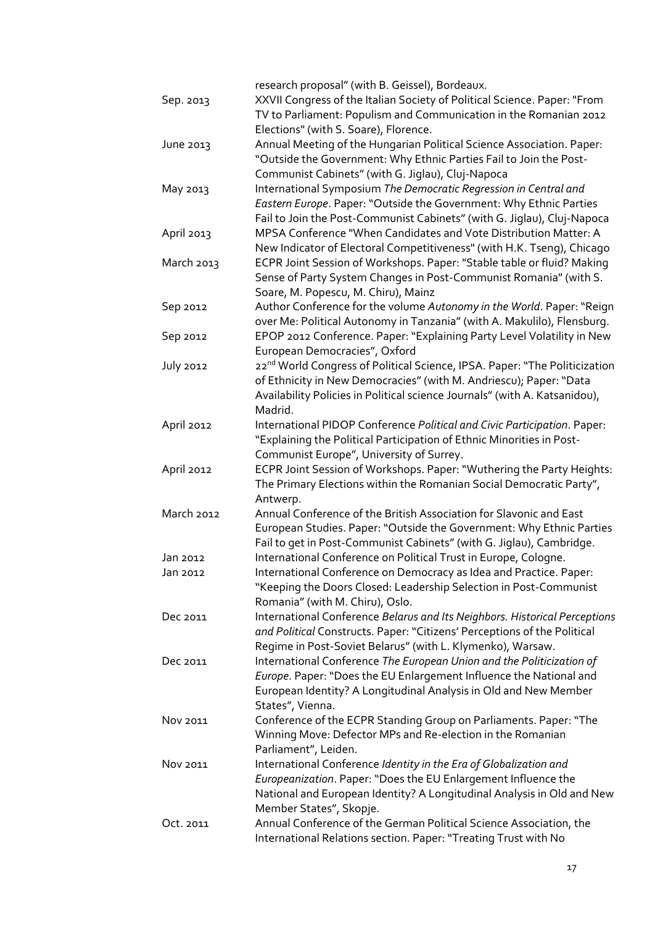|                  | research proposal" (with B. Geissel), Bordeaux.                                        |
|------------------|----------------------------------------------------------------------------------------|
| Sep. 2013        | XXVII Congress of the Italian Society of Political Science. Paper: "From               |
|                  | TV to Parliament: Populism and Communication in the Romanian 2012                      |
|                  | Elections" (with S. Soare), Florence.                                                  |
| June 2013        | Annual Meeting of the Hungarian Political Science Association. Paper:                  |
|                  | "Outside the Government: Why Ethnic Parties Fail to Join the Post-                     |
|                  | Communist Cabinets" (with G. Jiglau), Cluj-Napoca                                      |
| May 2013         | International Symposium The Democratic Regression in Central and                       |
|                  |                                                                                        |
|                  | Eastern Europe. Paper: "Outside the Government: Why Ethnic Parties                     |
|                  | Fail to Join the Post-Communist Cabinets" (with G. Jiglau), Cluj-Napoca                |
| April 2013       | MPSA Conference "When Candidates and Vote Distribution Matter: A                       |
|                  | New Indicator of Electoral Competitiveness" (with H.K. Tseng), Chicago                 |
| March 2013       | ECPR Joint Session of Workshops. Paper: "Stable table or fluid? Making                 |
|                  | Sense of Party System Changes in Post-Communist Romania" (with S.                      |
|                  | Soare, M. Popescu, M. Chiru), Mainz                                                    |
| Sep 2012         | Author Conference for the volume Autonomy in the World. Paper: "Reign                  |
|                  | over Me: Political Autonomy in Tanzania" (with A. Makulilo), Flensburg.                |
| Sep 2012         | EPOP 2012 Conference. Paper: "Explaining Party Level Volatility in New                 |
|                  | European Democracies", Oxford                                                          |
| <b>July 2012</b> | 22 <sup>nd</sup> World Congress of Political Science, IPSA. Paper: "The Politicization |
|                  | of Ethnicity in New Democracies" (with M. Andriescu); Paper: "Data                     |
|                  | Availability Policies in Political science Journals" (with A. Katsanidou),             |
|                  | Madrid.                                                                                |
| April 2012       | International PIDOP Conference Political and Civic Participation. Paper:               |
|                  | "Explaining the Political Participation of Ethnic Minorities in Post-                  |
|                  | Communist Europe", University of Surrey.                                               |
| April 2012       | ECPR Joint Session of Workshops. Paper: "Wuthering the Party Heights:                  |
|                  | The Primary Elections within the Romanian Social Democratic Party",                    |
|                  | Antwerp.                                                                               |
| March 2012       | Annual Conference of the British Association for Slavonic and East                     |
|                  | European Studies. Paper: "Outside the Government: Why Ethnic Parties                   |
|                  | Fail to get in Post-Communist Cabinets" (with G. Jiglau), Cambridge.                   |
| Jan 2012         | International Conference on Political Trust in Europe, Cologne.                        |
| Jan 2012         | International Conference on Democracy as Idea and Practice. Paper:                     |
|                  | "Keeping the Doors Closed: Leadership Selection in Post-Communist                      |
|                  | Romania" (with M. Chiru), Oslo.                                                        |
| Dec 2011         | International Conference Belarus and Its Neighbors. Historical Perceptions             |
|                  | and Political Constructs. Paper: "Citizens' Perceptions of the Political               |
|                  | Regime in Post-Soviet Belarus" (with L. Klymenko), Warsaw.                             |
| Dec 2011         | International Conference The European Union and the Politicization of                  |
|                  | Europe. Paper: "Does the EU Enlargement Influence the National and                     |
|                  | European Identity? A Longitudinal Analysis in Old and New Member                       |
|                  | States", Vienna.                                                                       |
|                  |                                                                                        |
| Nov 2011         | Conference of the ECPR Standing Group on Parliaments. Paper: "The                      |
|                  | Winning Move: Defector MPs and Re-election in the Romanian                             |
|                  | Parliament", Leiden.                                                                   |
| Nov 2011         | International Conference Identity in the Era of Globalization and                      |
|                  | Europeanization. Paper: "Does the EU Enlargement Influence the                         |
|                  | National and European Identity? A Longitudinal Analysis in Old and New                 |
|                  | Member States", Skopje.                                                                |
| Oct. 2011        | Annual Conference of the German Political Science Association, the                     |
|                  | International Relations section. Paper: "Treating Trust with No                        |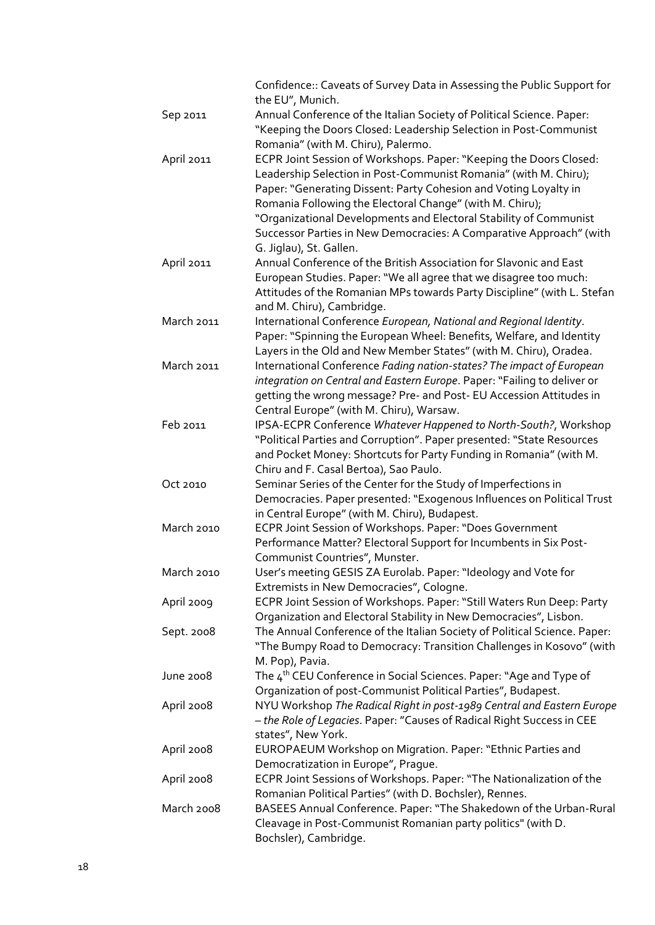|                  | Confidence:: Caveats of Survey Data in Assessing the Public Support for<br>the EU", Munich.                                                                                                                                               |  |
|------------------|-------------------------------------------------------------------------------------------------------------------------------------------------------------------------------------------------------------------------------------------|--|
| Sep 2011         | Annual Conference of the Italian Society of Political Science. Paper:<br>"Keeping the Doors Closed: Leadership Selection in Post-Communist<br>Romania" (with M. Chiru), Palermo.                                                          |  |
| April 2011       | ECPR Joint Session of Workshops. Paper: "Keeping the Doors Closed:<br>Leadership Selection in Post-Communist Romania" (with M. Chiru);                                                                                                    |  |
|                  | Paper: "Generating Dissent: Party Cohesion and Voting Loyalty in<br>Romania Following the Electoral Change" (with M. Chiru);                                                                                                              |  |
|                  | "Organizational Developments and Electoral Stability of Communist<br>Successor Parties in New Democracies: A Comparative Approach" (with                                                                                                  |  |
|                  | G. Jiglau), St. Gallen.                                                                                                                                                                                                                   |  |
| April 2011       | Annual Conference of the British Association for Slavonic and East                                                                                                                                                                        |  |
|                  | European Studies. Paper: "We all agree that we disagree too much:<br>Attitudes of the Romanian MPs towards Party Discipline" (with L. Stefan<br>and M. Chiru), Cambridge.                                                                 |  |
| March 2011       | International Conference European, National and Regional Identity.<br>Paper: "Spinning the European Wheel: Benefits, Welfare, and Identity                                                                                                |  |
| March 2011       | Layers in the Old and New Member States" (with M. Chiru), Oradea.<br>International Conference Fading nation-states? The impact of European<br>integration on Central and Eastern Europe. Paper: "Failing to deliver or                    |  |
|                  | getting the wrong message? Pre- and Post- EU Accession Attitudes in<br>Central Europe" (with M. Chiru), Warsaw.                                                                                                                           |  |
| Feb 2011         | IPSA-ECPR Conference Whatever Happened to North-South?, Workshop                                                                                                                                                                          |  |
|                  | "Political Parties and Corruption". Paper presented: "State Resources<br>and Pocket Money: Shortcuts for Party Funding in Romania" (with M.<br>Chiru and F. Casal Bertoa), Sao Paulo.                                                     |  |
| Oct 2010         | Seminar Series of the Center for the Study of Imperfections in                                                                                                                                                                            |  |
|                  | Democracies. Paper presented: "Exogenous Influences on Political Trust<br>in Central Europe" (with M. Chiru), Budapest.                                                                                                                   |  |
| March 2010       | ECPR Joint Session of Workshops. Paper: "Does Government<br>Performance Matter? Electoral Support for Incumbents in Six Post-<br>Communist Countries", Munster.                                                                           |  |
| March 2010       | User's meeting GESIS ZA Eurolab. Paper: "Ideology and Vote for<br>Extremists in New Democracies", Cologne.                                                                                                                                |  |
| April 2009       | ECPR Joint Session of Workshops. Paper: "Still Waters Run Deep: Party                                                                                                                                                                     |  |
| Sept. 2008       | Organization and Electoral Stability in New Democracies", Lisbon.<br>The Annual Conference of the Italian Society of Political Science. Paper:<br>"The Bumpy Road to Democracy: Transition Challenges in Kosovo" (with<br>M. Pop), Pavia. |  |
| <b>June 2008</b> | The $4^{\text{th}}$ CEU Conference in Social Sciences. Paper: "Age and Type of                                                                                                                                                            |  |
| April 2008       | Organization of post-Communist Political Parties", Budapest.<br>NYU Workshop The Radical Right in post-1989 Central and Eastern Europe                                                                                                    |  |
|                  | - the Role of Legacies. Paper: "Causes of Radical Right Success in CEE<br>states", New York.                                                                                                                                              |  |
| April 2008       | EUROPAEUM Workshop on Migration. Paper: "Ethnic Parties and                                                                                                                                                                               |  |
|                  | Democratization in Europe", Prague.                                                                                                                                                                                                       |  |
| April 2008       | ECPR Joint Sessions of Workshops. Paper: "The Nationalization of the<br>Romanian Political Parties" (with D. Bochsler), Rennes.                                                                                                           |  |
| March 2008       | BASEES Annual Conference. Paper: "The Shakedown of the Urban-Rural<br>Cleavage in Post-Communist Romanian party politics" (with D.<br>Bochsler), Cambridge.                                                                               |  |